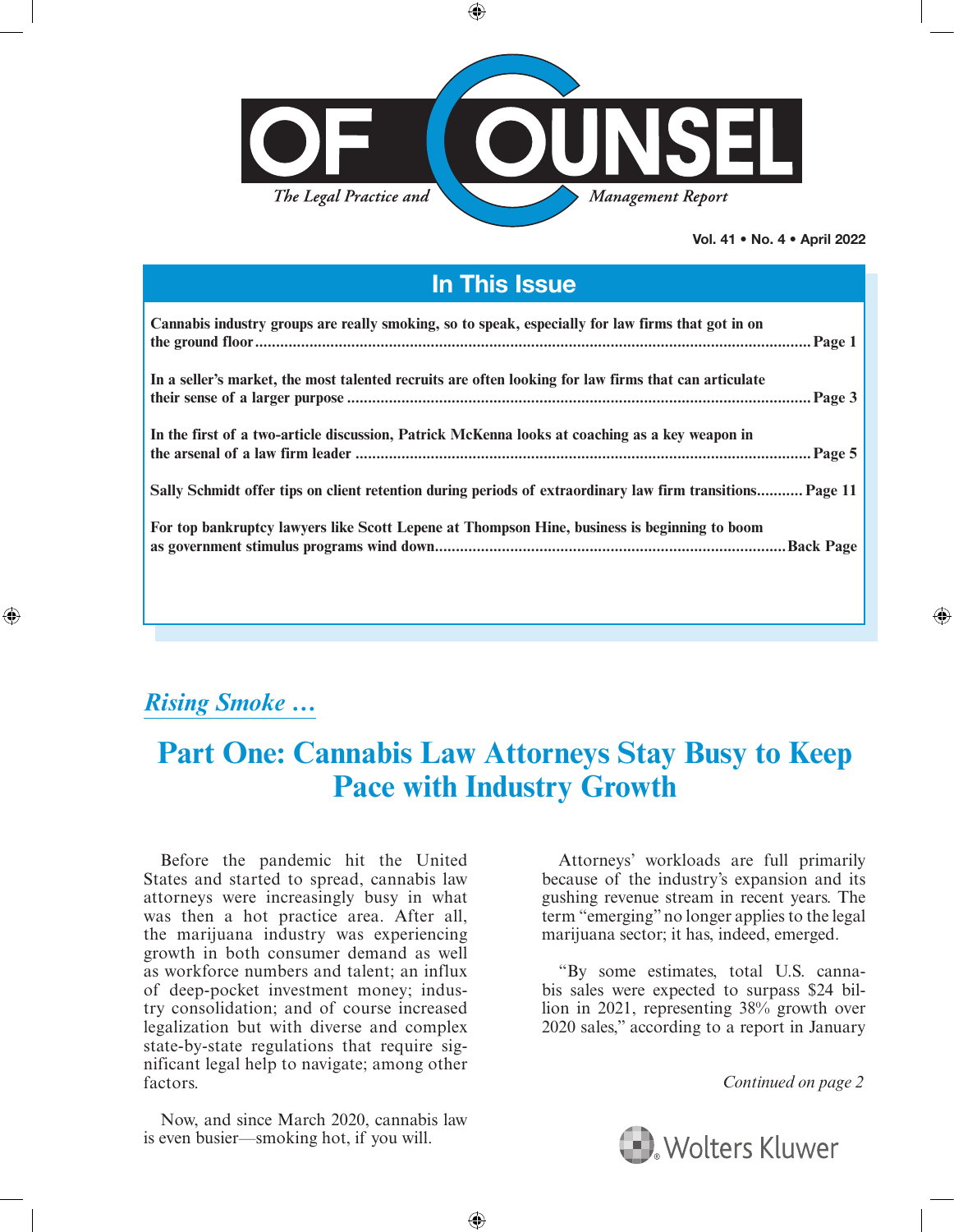

 $\bigoplus$ 

Vol. 41 • No. 4 • April 2022

⊕

## In This Issue

| Cannabis industry groups are really smoking, so to speak, especially for law firms that got in on         |
|-----------------------------------------------------------------------------------------------------------|
| In a seller's market, the most talented recruits are often looking for law firms that can articulate      |
| In the first of a two-article discussion, Patrick McKenna looks at coaching as a key weapon in            |
| Sally Schmidt offer tips on client retention during periods of extraordinary law firm transitions Page 11 |
| For top bankruptcy lawyers like Scott Lepene at Thompson Hine, business is beginning to boom              |

## <span id="page-0-0"></span>*Rising Smoke …*

⊕

# **Part One: Cannabis Law Attorneys Stay Busy to Keep Pace with Industry Growth**

 $\bigoplus$ 

Before the pandemic hit the United States and started to spread, cannabis law attorneys were increasingly busy in what was then a hot practice area. After all, the marijuana industry was experiencing growth in both consumer demand as well as workforce numbers and talent; an influx of deep-pocket investment money; industry consolidation; and of course increased legalization but with diverse and complex state-by-state regulations that require significant legal help to navigate; among other factors.

Now, and since March 2020, cannabis law is even busier—smoking hot, if you will.

Attorneys' workloads are full primarily because of the industry's expansion and its gushing revenue stream in recent years. The term "emerging" no longer applies to the legal marijuana sector; it has, indeed, emerged.

"By some estimates, total U.S. cannabis sales were expected to surpass \$24 billion in 2021, representing 38% growth over 2020 sales," according to a report in January

*Continued on page 2*

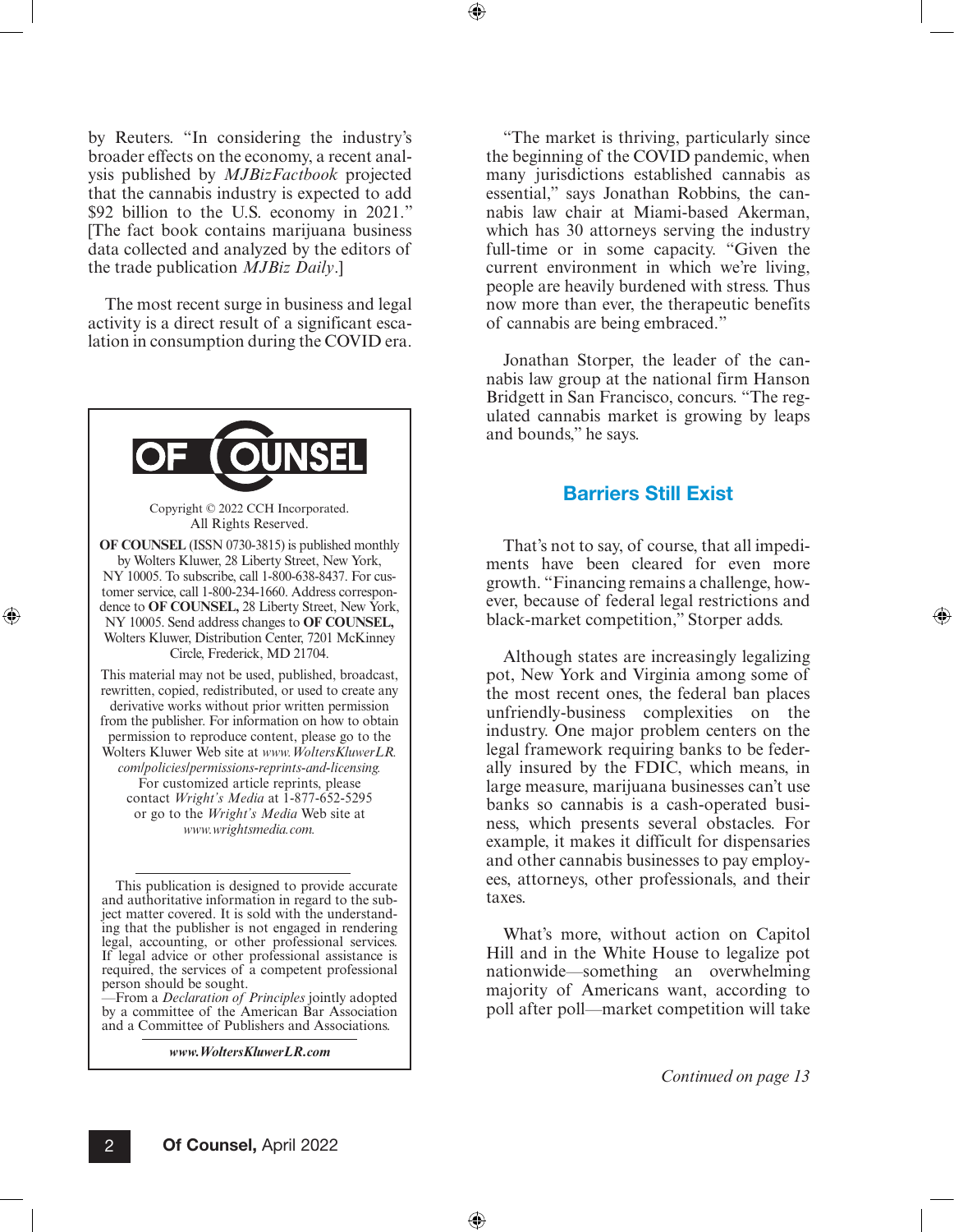by Reuters. "In considering the industry's broader effects on the economy, a recent analysis published by *MJBizFactbook* projected that the cannabis industry is expected to add \$92 billion to the U.S. economy in 2021." [The fact book contains marijuana business data collected and analyzed by the editors of the trade publication *MJBiz Daily*.]

The most recent surge in business and legal activity is a direct result of a significant escalation in consumption during the COVID era.



⊕

—From a *Declaration of Principles* jointly adopted by a committee of the American Bar Association and a Committee of Publishers and Associations.

*www.WoltersKluwerLR.com*

"The market is thriving, particularly since the beginning of the COVID pandemic, when many jurisdictions established cannabis as essential," says Jonathan Robbins, the cannabis law chair at Miami-based Akerman, which has 30 attorneys serving the industry full-time or in some capacity. "Given the current environment in which we're living, people are heavily burdened with stress. Thus now more than ever, the therapeutic benefits of cannabis are being embraced."

Jonathan Storper, the leader of the cannabis law group at the national firm Hanson Bridgett in San Francisco, concurs. "The regulated cannabis market is growing by leaps and bounds," he says.

### Barriers Still Exist

That's not to say, of course, that all impediments have been cleared for even more growth. "Financing remains a challenge, however, because of federal legal restrictions and black-market competition," Storper adds.

Although states are increasingly legalizing pot, New York and Virginia among some of the most recent ones, the federal ban places unfriendly-business complexities on the industry. One major problem centers on the legal framework requiring banks to be federally insured by the FDIC, which means, in large measure, marijuana businesses can't use banks so cannabis is a cash-operated business, which presents several obstacles. For example, it makes it difficult for dispensaries and other cannabis businesses to pay employees, attorneys, other professionals, and their taxes.

What's more, without action on Capitol Hill and in the White House to legalize pot nationwide—something an overwhelming majority of Americans want, according to poll after poll—market competition will take

*Continued on page 13*

⊕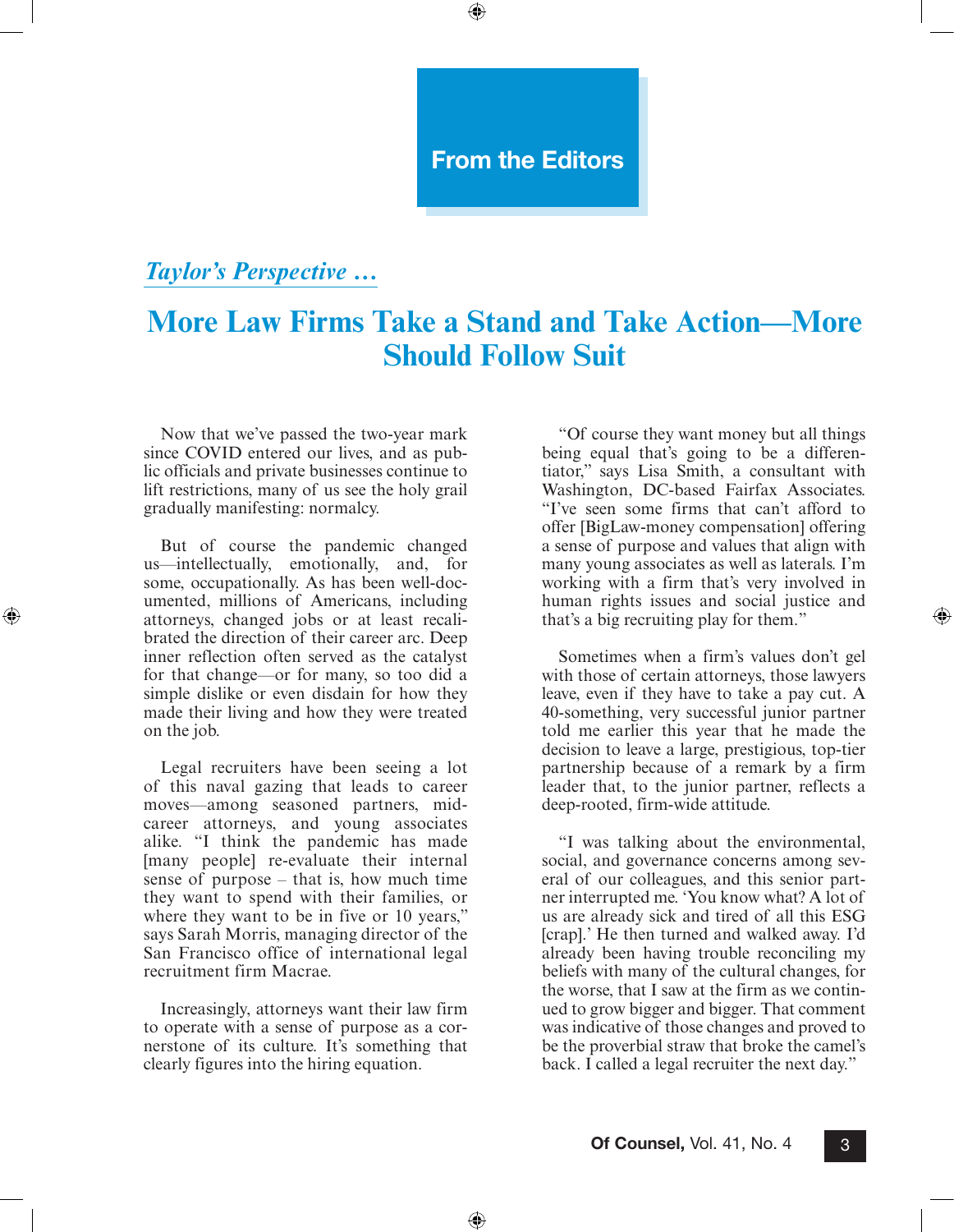## From the Editors

 $\textcircled{\scriptsize{+}}$ 

## <span id="page-2-0"></span>*Taylor's Perspective …*

# **More Law Firms Take a Stand and Take Action—More Should Follow Suit**

Now that we've passed the two-year mark since COVID entered our lives, and as public officials and private businesses continue to lift restrictions, many of us see the holy grail gradually manifesting: normalcy.

But of course the pandemic changed us—intellectually, emotionally, and, for some, occupationally. As has been well-documented, millions of Americans, including attorneys, changed jobs or at least recalibrated the direction of their career arc. Deep inner reflection often served as the catalyst for that change—or for many, so too did a simple dislike or even disdain for how they made their living and how they were treated on the job.

⊕

Legal recruiters have been seeing a lot of this naval gazing that leads to career moves—among seasoned partners, midcareer attorneys, and young associates alike. "I think the pandemic has made [many people] re-evaluate their internal sense of purpose – that is, how much time they want to spend with their families, or where they want to be in five or 10 years," says Sarah Morris, managing director of the San Francisco office of international legal recruitment firm Macrae.

Increasingly, attorneys want their law firm to operate with a sense of purpose as a cornerstone of its culture. It's something that clearly figures into the hiring equation.

"Of course they want money but all things being equal that's going to be a differentiator," says Lisa Smith, a consultant with Washington, DC-based Fairfax Associates. "I've seen some firms that can't afford to offer [BigLaw-money compensation] offering a sense of purpose and values that align with many young associates as well as laterals. I'm working with a firm that's very involved in human rights issues and social justice and that's a big recruiting play for them."

⊕

Sometimes when a firm's values don't gel with those of certain attorneys, those lawyers leave, even if they have to take a pay cut. A 40-something, very successful junior partner told me earlier this year that he made the decision to leave a large, prestigious, top-tier partnership because of a remark by a firm leader that, to the junior partner, reflects a deep-rooted, firm-wide attitude.

"I was talking about the environmental, social, and governance concerns among several of our colleagues, and this senior partner interrupted me. 'You know what? A lot of us are already sick and tired of all this ESG [crap].' He then turned and walked away. I'd already been having trouble reconciling my beliefs with many of the cultural changes, for the worse, that I saw at the firm as we continued to grow bigger and bigger. That comment was indicative of those changes and proved to be the proverbial straw that broke the camel's back. I called a legal recruiter the next day."

 $\bigoplus$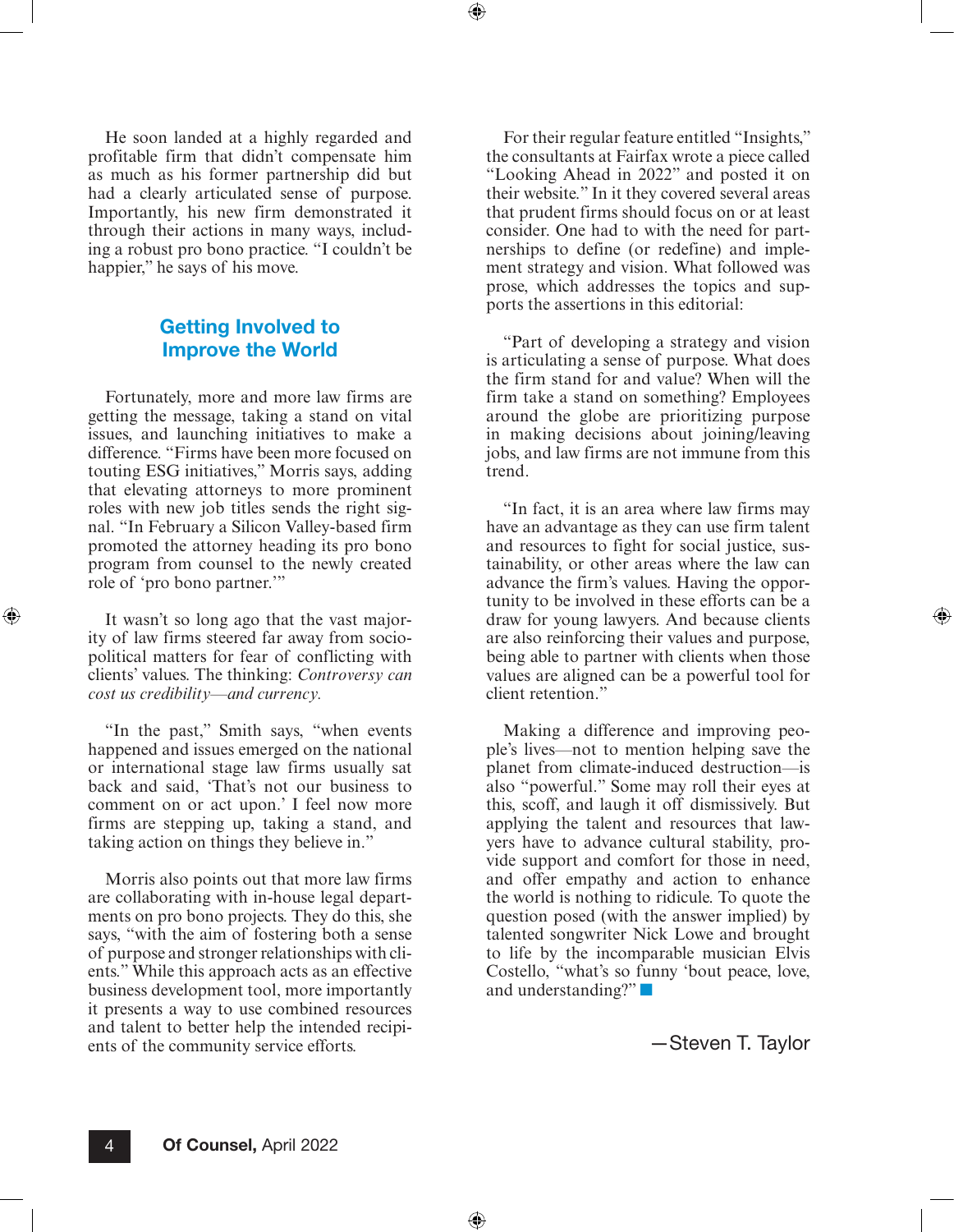⊕

He soon landed at a highly regarded and profitable firm that didn't compensate him as much as his former partnership did but had a clearly articulated sense of purpose. Importantly, his new firm demonstrated it through their actions in many ways, including a robust pro bono practice. "I couldn't be happier," he says of his move.

## Getting Involved to Improve the World

Fortunately, more and more law firms are getting the message, taking a stand on vital issues, and launching initiatives to make a difference. "Firms have been more focused on touting ESG initiatives," Morris says, adding that elevating attorneys to more prominent roles with new job titles sends the right signal. "In February a Silicon Valley-based firm promoted the attorney heading its pro bono program from counsel to the newly created role of 'pro bono partner.'"

It wasn't so long ago that the vast majority of law firms steered far away from sociopolitical matters for fear of conflicting with clients' values. The thinking: *Controversy can cost us credibility—and currency.*

⊕

"In the past," Smith says, "when events happened and issues emerged on the national or international stage law firms usually sat back and said, 'That's not our business to comment on or act upon.' I feel now more firms are stepping up, taking a stand, and taking action on things they believe in."

Morris also points out that more law firms are collaborating with in-house legal departments on pro bono projects. They do this, she says, "with the aim of fostering both a sense of purpose and stronger relationships with clients." While this approach acts as an effective business development tool, more importantly it presents a way to use combined resources and talent to better help the intended recipients of the community service efforts.

For their regular feature entitled "Insights," the consultants at Fairfax wrote a piece called "Looking Ahead in 2022" and posted it on their website." In it they covered several areas that prudent firms should focus on or at least consider. One had to with the need for partnerships to define (or redefine) and implement strategy and vision. What followed was prose, which addresses the topics and supports the assertions in this editorial:

"Part of developing a strategy and vision is articulating a sense of purpose. What does the firm stand for and value? When will the firm take a stand on something? Employees around the globe are prioritizing purpose in making decisions about joining/leaving jobs, and law firms are not immune from this trend.

"In fact, it is an area where law firms may have an advantage as they can use firm talent and resources to fight for social justice, sustainability, or other areas where the law can advance the firm's values. Having the opportunity to be involved in these efforts can be a draw for young lawyers. And because clients are also reinforcing their values and purpose, being able to partner with clients when those values are aligned can be a powerful tool for client retention."

Making a difference and improving people's lives—not to mention helping save the planet from climate-induced destruction—is also "powerful." Some may roll their eyes at this, scoff, and laugh it off dismissively. But applying the talent and resources that lawyers have to advance cultural stability, provide support and comfort for those in need, and offer empathy and action to enhance the world is nothing to ridicule. To quote the question posed (with the answer implied) by talented songwriter Nick Lowe and brought to life by the incomparable musician Elvis Costello, "what's so funny 'bout peace, love, and understanding?" ■

—Steven T. Taylor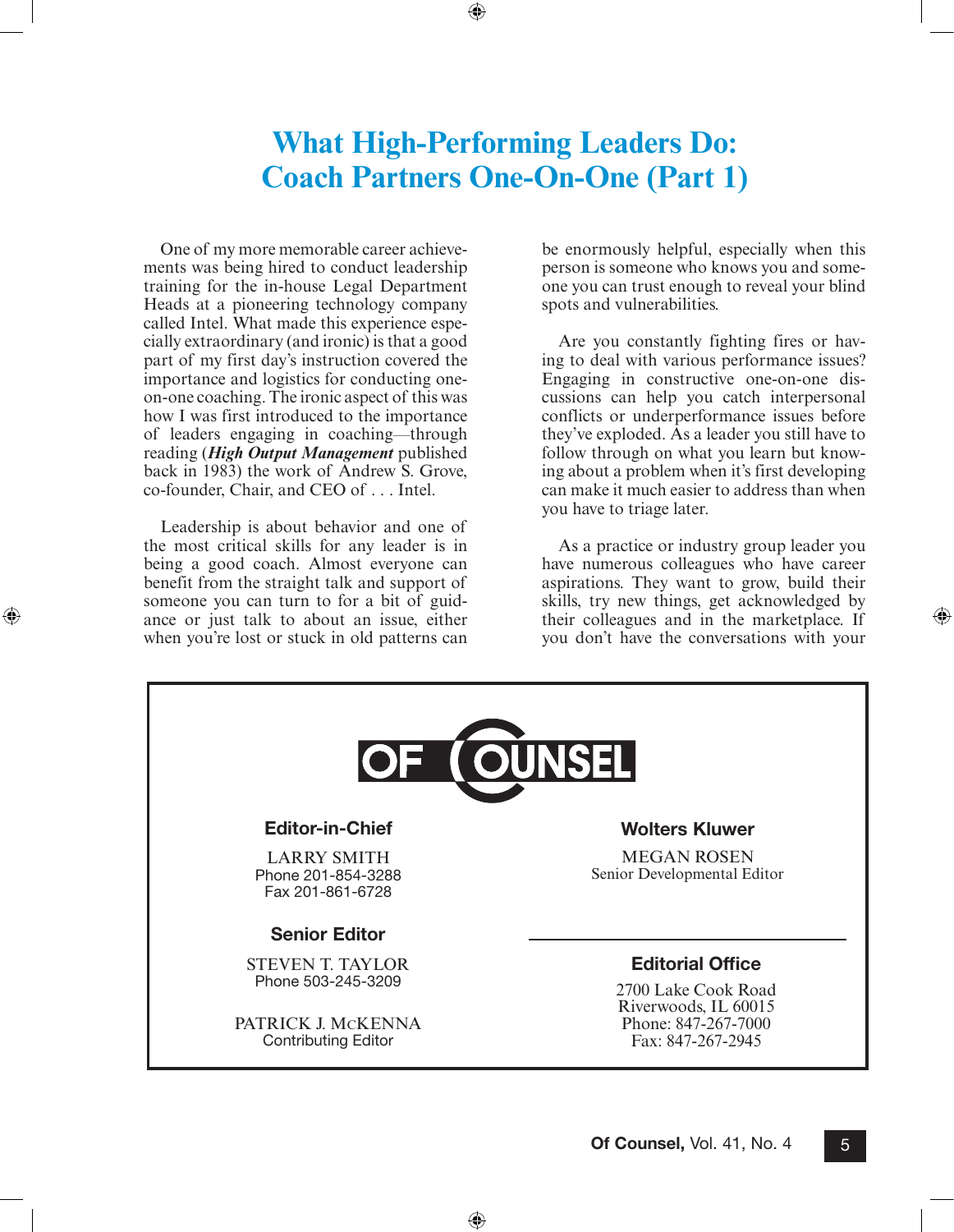# **What High-Performing Leaders Do: Coach Partners One-On-One (Part 1)**

<span id="page-4-0"></span> $\textcircled{\scriptsize{+}}$ 

One of my more memorable career achievements was being hired to conduct leadership training for the in-house Legal Department Heads at a pioneering technology company called Intel. What made this experience especially extraordinary (and ironic) is that a good part of my first day's instruction covered the importance and logistics for conducting oneon-one coaching. The ironic aspect of this was how I was first introduced to the importance of leaders engaging in coaching—through reading (*High Output Management* published back in 1983) the work of Andrew S. Grove, co-founder, Chair, and CEO of . . . Intel.

Leadership is about behavior and one of the most critical skills for any leader is in being a good coach. Almost everyone can benefit from the straight talk and support of someone you can turn to for a bit of guidance or just talk to about an issue, either when you're lost or stuck in old patterns can

⊕

be enormously helpful, especially when this person is someone who knows you and someone you can trust enough to reveal your blind spots and vulnerabilities.

Are you constantly fighting fires or having to deal with various performance issues? Engaging in constructive one-on-one discussions can help you catch interpersonal conflicts or underperformance issues before they've exploded. As a leader you still have to follow through on what you learn but knowing about a problem when it's first developing can make it much easier to address than when you have to triage later.

As a practice or industry group leader you have numerous colleagues who have career aspirations. They want to grow, build their skills, try new things, get acknowledged by their colleagues and in the marketplace. If you don't have the conversations with your

⊕

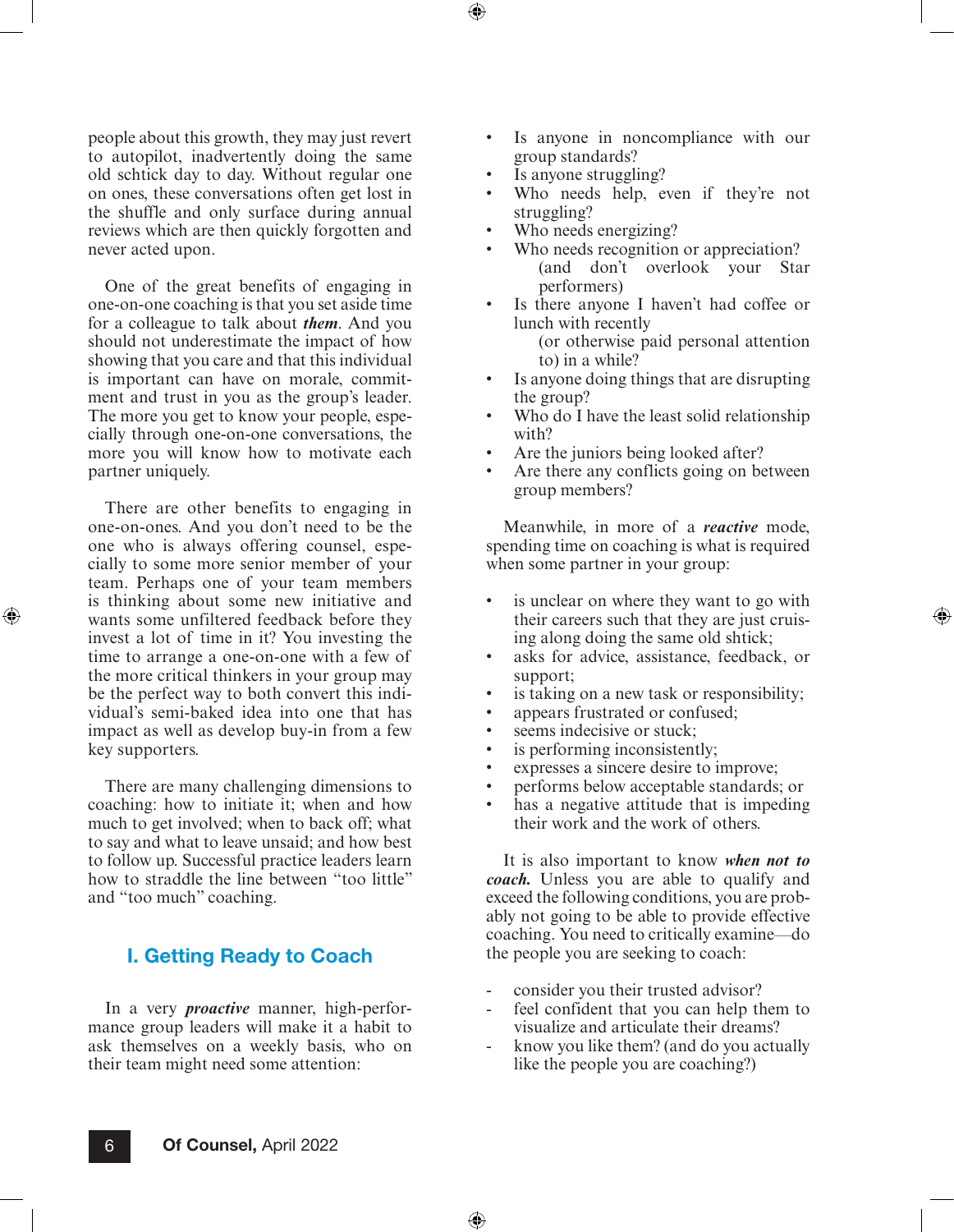people about this growth, they may just revert to autopilot, inadvertently doing the same old schtick day to day. Without regular one on ones, these conversations often get lost in the shuffle and only surface during annual reviews which are then quickly forgotten and never acted upon.

One of the great benefits of engaging in one-on-one coaching is that you set aside time for a colleague to talk about *them*. And you should not underestimate the impact of how showing that you care and that this individual is important can have on morale, commitment and trust in you as the group's leader. The more you get to know your people, especially through one-on-one conversations, the more you will know how to motivate each partner uniquely.

There are other benefits to engaging in one-on-ones. And you don't need to be the one who is always offering counsel, especially to some more senior member of your team. Perhaps one of your team members is thinking about some new initiative and wants some unfiltered feedback before they invest a lot of time in it? You investing the time to arrange a one-on-one with a few of the more critical thinkers in your group may be the perfect way to both convert this individual's semi-baked idea into one that has impact as well as develop buy-in from a few key supporters.

⊕

There are many challenging dimensions to coaching: how to initiate it; when and how much to get involved; when to back off; what to say and what to leave unsaid; and how best to follow up. Successful practice leaders learn how to straddle the line between "too little" and "too much" coaching.

## I. Getting Ready to Coach

In a very *proactive* manner, high-performance group leaders will make it a habit to ask themselves on a weekly basis, who on their team might need some attention:

- Is anyone in noncompliance with our group standards?
- Is anyone struggling?

⊕

- Who needs help, even if they're not struggling?
- Who needs energizing?
- Who needs recognition or appreciation? (and don't overlook your Star performers)
- Is there anyone I haven't had coffee or lunch with recently (or otherwise paid personal attention to) in a while?
- Is anyone doing things that are disrupting the group?
- Who do I have the least solid relationship with?
- Are the juniors being looked after?
- Are there any conflicts going on between group members?

Meanwhile, in more of a *reactive* mode, spending time on coaching is what is required when some partner in your group:

- is unclear on where they want to go with their careers such that they are just cruising along doing the same old shtick;
- asks for advice, assistance, feedback, or support;
- is taking on a new task or responsibility;
- appears frustrated or confused;
- seems indecisive or stuck;
- is performing inconsistently;
- expresses a sincere desire to improve;
- performs below acceptable standards; or
- has a negative attitude that is impeding their work and the work of others.

It is also important to know *when not to coach.* Unless you are able to qualify and exceed the following conditions, you are probably not going to be able to provide effective coaching. You need to critically examine—do the people you are seeking to coach:

- consider you their trusted advisor?
- feel confident that you can help them to visualize and articulate their dreams?
- know you like them? (and do you actually like the people you are coaching?)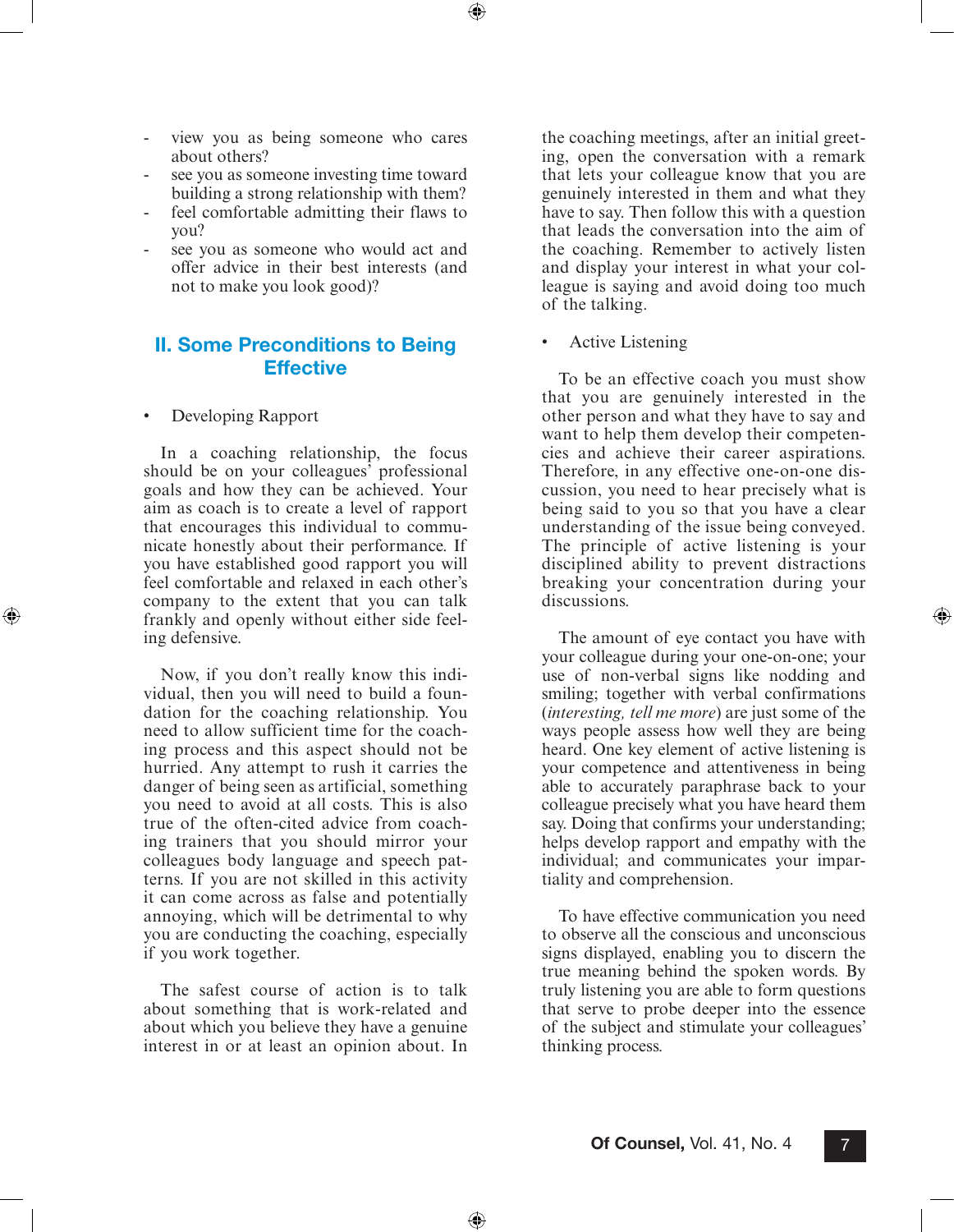view you as being someone who cares about others?

⊕

- see you as someone investing time toward building a strong relationship with them?
- feel comfortable admitting their flaws to you?
- see you as someone who would act and offer advice in their best interests (and not to make you look good)?

## II. Some Preconditions to Being **Effective**

• Developing Rapport

⊕

In a coaching relationship, the focus should be on your colleagues' professional goals and how they can be achieved. Your aim as coach is to create a level of rapport that encourages this individual to communicate honestly about their performance. If you have established good rapport you will feel comfortable and relaxed in each other's company to the extent that you can talk frankly and openly without either side feeling defensive.

Now, if you don't really know this individual, then you will need to build a foundation for the coaching relationship. You need to allow sufficient time for the coaching process and this aspect should not be hurried. Any attempt to rush it carries the danger of being seen as artificial, something you need to avoid at all costs. This is also true of the often-cited advice from coaching trainers that you should mirror your colleagues body language and speech patterns. If you are not skilled in this activity it can come across as false and potentially annoying, which will be detrimental to why you are conducting the coaching, especially if you work together.

The safest course of action is to talk about something that is work-related and about which you believe they have a genuine interest in or at least an opinion about. In the coaching meetings, after an initial greeting, open the conversation with a remark that lets your colleague know that you are genuinely interested in them and what they have to say. Then follow this with a question that leads the conversation into the aim of the coaching. Remember to actively listen and display your interest in what your colleague is saying and avoid doing too much of the talking.

Active Listening

To be an effective coach you must show that you are genuinely interested in the other person and what they have to say and want to help them develop their competencies and achieve their career aspirations. Therefore, in any effective one-on-one discussion, you need to hear precisely what is being said to you so that you have a clear understanding of the issue being conveyed. The principle of active listening is your disciplined ability to prevent distractions breaking your concentration during your discussions.

⊕

The amount of eye contact you have with your colleague during your one-on-one; your use of non-verbal signs like nodding and smiling; together with verbal confirmations (*interesting, tell me more*) are just some of the ways people assess how well they are being heard. One key element of active listening is your competence and attentiveness in being able to accurately paraphrase back to your colleague precisely what you have heard them say. Doing that confirms your understanding; helps develop rapport and empathy with the individual; and communicates your impartiality and comprehension.

To have effective communication you need to observe all the conscious and unconscious signs displayed, enabling you to discern the true meaning behind the spoken words. By truly listening you are able to form questions that serve to probe deeper into the essence of the subject and stimulate your colleagues' thinking process.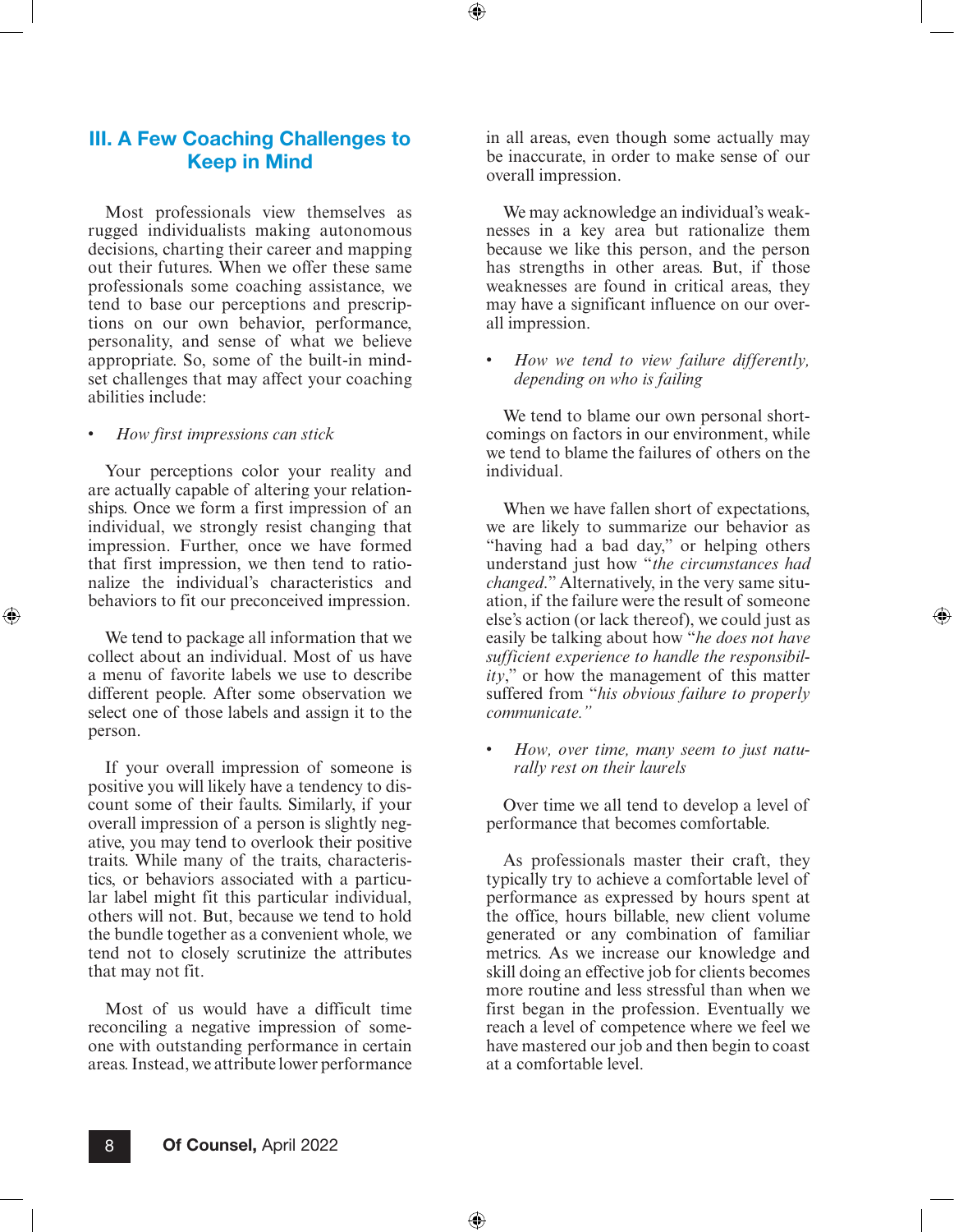## III. A Few Coaching Challenges to Keep in Mind

Most professionals view themselves as rugged individualists making autonomous decisions, charting their career and mapping out their futures. When we offer these same professionals some coaching assistance, we tend to base our perceptions and prescriptions on our own behavior, performance, personality, and sense of what we believe appropriate. So, some of the built-in mindset challenges that may affect your coaching abilities include:

#### • *How first impressions can stick*

⊕

Your perceptions color your reality and are actually capable of altering your relationships. Once we form a first impression of an individual, we strongly resist changing that impression. Further, once we have formed that first impression, we then tend to rationalize the individual's characteristics and behaviors to fit our preconceived impression.

We tend to package all information that we collect about an individual. Most of us have a menu of favorite labels we use to describe different people. After some observation we select one of those labels and assign it to the person.

If your overall impression of someone is positive you will likely have a tendency to discount some of their faults. Similarly, if your overall impression of a person is slightly negative, you may tend to overlook their positive traits. While many of the traits, characteristics, or behaviors associated with a particular label might fit this particular individual, others will not. But, because we tend to hold the bundle together as a convenient whole, we tend not to closely scrutinize the attributes that may not fit.

Most of us would have a difficult time reconciling a negative impression of someone with outstanding performance in certain areas. Instead, we attribute lower performance in all areas, even though some actually may be inaccurate, in order to make sense of our overall impression.

⊕

We may acknowledge an individual's weaknesses in a key area but rationalize them because we like this person, and the person has strengths in other areas. But, if those weaknesses are found in critical areas, they may have a significant influence on our overall impression.

• *How we tend to view failure differently, depending on who is failing*

We tend to blame our own personal shortcomings on factors in our environment, while we tend to blame the failures of others on the individual.

When we have fallen short of expectations, we are likely to summarize our behavior as "having had a bad day," or helping others understand just how "*the circumstances had changed*." Alternatively, in the very same situation, if the failure were the result of someone else's action (or lack thereof), we could just as easily be talking about how "*he does not have sufficient experience to handle the responsibility*," or how the management of this matter suffered from "*his obvious failure to properly communicate."*

• *How, over time, many seem to just naturally rest on their laurels*

Over time we all tend to develop a level of performance that becomes comfortable.

As professionals master their craft, they typically try to achieve a comfortable level of performance as expressed by hours spent at the office, hours billable, new client volume generated or any combination of familiar metrics. As we increase our knowledge and skill doing an effective job for clients becomes more routine and less stressful than when we first began in the profession. Eventually we reach a level of competence where we feel we have mastered our job and then begin to coast at a comfortable level.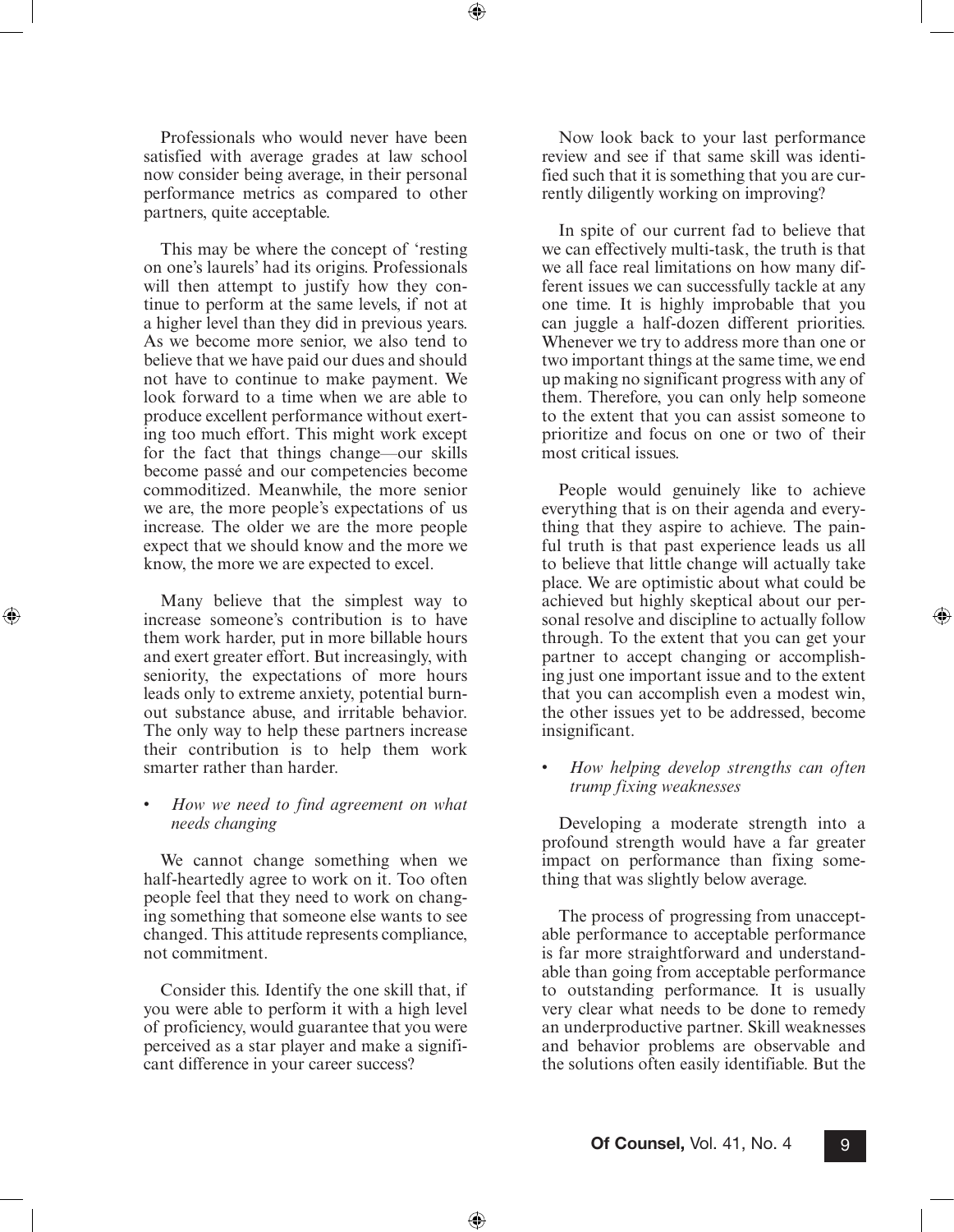Professionals who would never have been satisfied with average grades at law school now consider being average, in their personal performance metrics as compared to other partners, quite acceptable.

⊕

This may be where the concept of 'resting on one's laurels' had its origins. Professionals will then attempt to justify how they continue to perform at the same levels, if not at a higher level than they did in previous years. As we become more senior, we also tend to believe that we have paid our dues and should not have to continue to make payment. We look forward to a time when we are able to produce excellent performance without exerting too much effort. This might work except for the fact that things change—our skills become passé and our competencies become commoditized. Meanwhile, the more senior we are, the more people's expectations of us increase. The older we are the more people expect that we should know and the more we know, the more we are expected to excel.

Many believe that the simplest way to increase someone's contribution is to have them work harder, put in more billable hours and exert greater effort. But increasingly, with seniority, the expectations of more hours leads only to extreme anxiety, potential burnout substance abuse, and irritable behavior. The only way to help these partners increase their contribution is to help them work smarter rather than harder.

⊕

• *How we need to find agreement on what needs changing*

We cannot change something when we half-heartedly agree to work on it. Too often people feel that they need to work on changing something that someone else wants to see changed. This attitude represents compliance, not commitment.

Consider this. Identify the one skill that, if you were able to perform it with a high level of proficiency, would guarantee that you were perceived as a star player and make a significant difference in your career success?

Now look back to your last performance review and see if that same skill was identified such that it is something that you are currently diligently working on improving?

In spite of our current fad to believe that we can effectively multi-task, the truth is that we all face real limitations on how many different issues we can successfully tackle at any one time. It is highly improbable that you can juggle a half-dozen different priorities. Whenever we try to address more than one or two important things at the same time, we end up making no significant progress with any of them. Therefore, you can only help someone to the extent that you can assist someone to prioritize and focus on one or two of their most critical issues.

People would genuinely like to achieve everything that is on their agenda and everything that they aspire to achieve. The painful truth is that past experience leads us all to believe that little change will actually take place. We are optimistic about what could be achieved but highly skeptical about our personal resolve and discipline to actually follow through. To the extent that you can get your partner to accept changing or accomplishing just one important issue and to the extent that you can accomplish even a modest win, the other issues yet to be addressed, become insignificant.

⊕

• *How helping develop strengths can often trump fixing weaknesses*

Developing a moderate strength into a profound strength would have a far greater impact on performance than fixing something that was slightly below average.

The process of progressing from unacceptable performance to acceptable performance is far more straightforward and understandable than going from acceptable performance to outstanding performance. It is usually very clear what needs to be done to remedy an underproductive partner. Skill weaknesses and behavior problems are observable and the solutions often easily identifiable. But the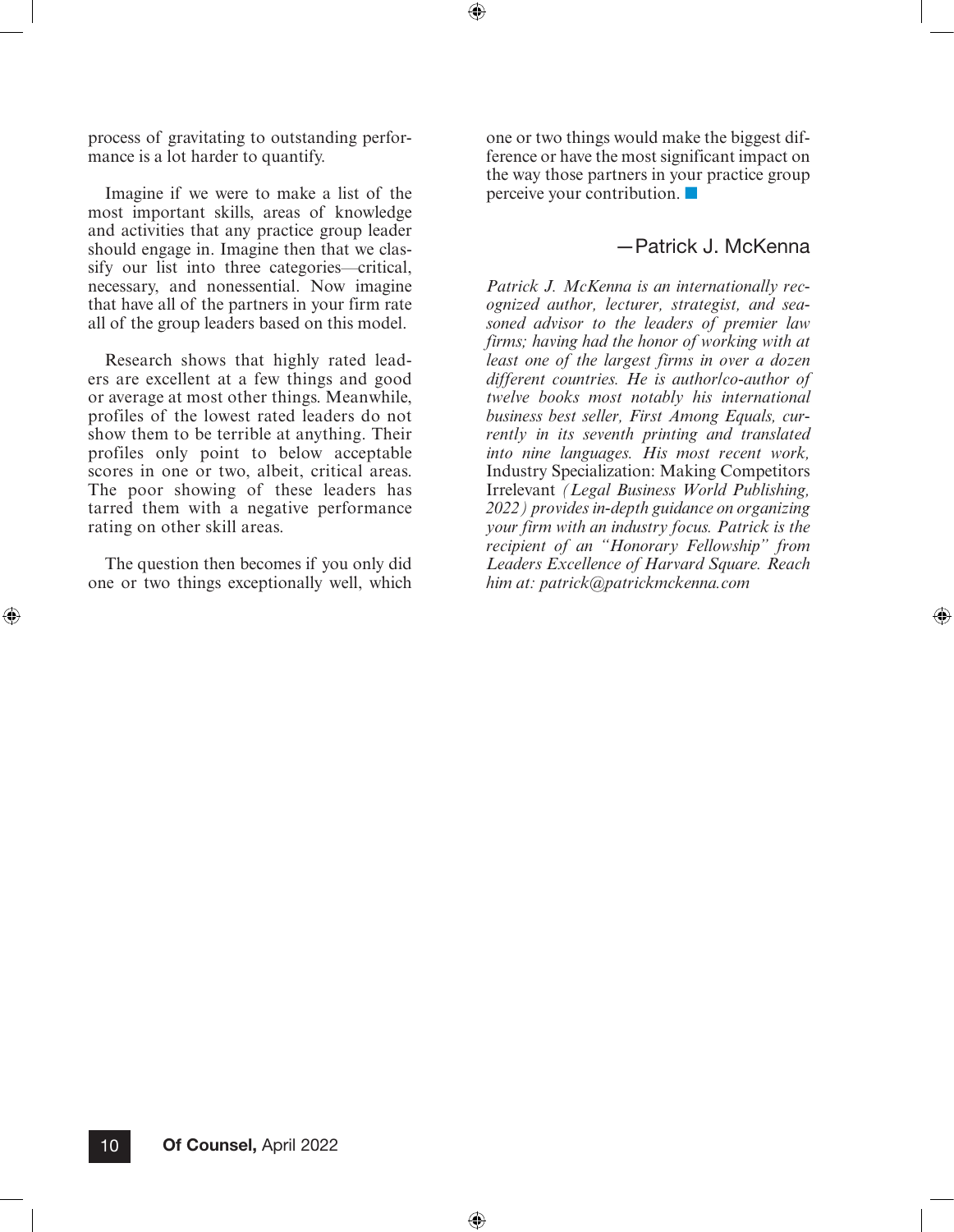process of gravitating to outstanding performance is a lot harder to quantify.

Imagine if we were to make a list of the most important skills, areas of knowledge and activities that any practice group leader should engage in. Imagine then that we classify our list into three categories—critical, necessary, and nonessential. Now imagine that have all of the partners in your firm rate all of the group leaders based on this model.

Research shows that highly rated leaders are excellent at a few things and good or average at most other things. Meanwhile, profiles of the lowest rated leaders do not show them to be terrible at anything. Their profiles only point to below acceptable scores in one or two, albeit, critical areas. The poor showing of these leaders has tarred them with a negative performance rating on other skill areas.

The question then becomes if you only did one or two things exceptionally well, which

⊕

one or two things would make the biggest difference or have the most significant impact on the way those partners in your practice group perceive your contribution. ■

 $\bigoplus$ 

## —Patrick J. McKenna

⊕

*Patrick J. McKenna is an internationally recognized author, lecturer, strategist, and seasoned advisor to the leaders of premier law firms; having had the honor of working with at least one of the largest firms in over a dozen different countries. He is author/co-author of twelve books most notably his international business best seller, First Among Equals, currently in its seventh printing and translated into nine languages. His most recent work,* Industry Specialization: Making Competitors Irrelevant *(Legal Business World Publishing, 2022) provides in-depth guidance on organizing your firm with an industry focus. Patrick is the recipient of an "Honorary Fellowship" from Leaders Excellence of Harvard Square. Reach him at: [patrick@patrickmckenna.com](mailto:patrick@patrickmckenna.com)*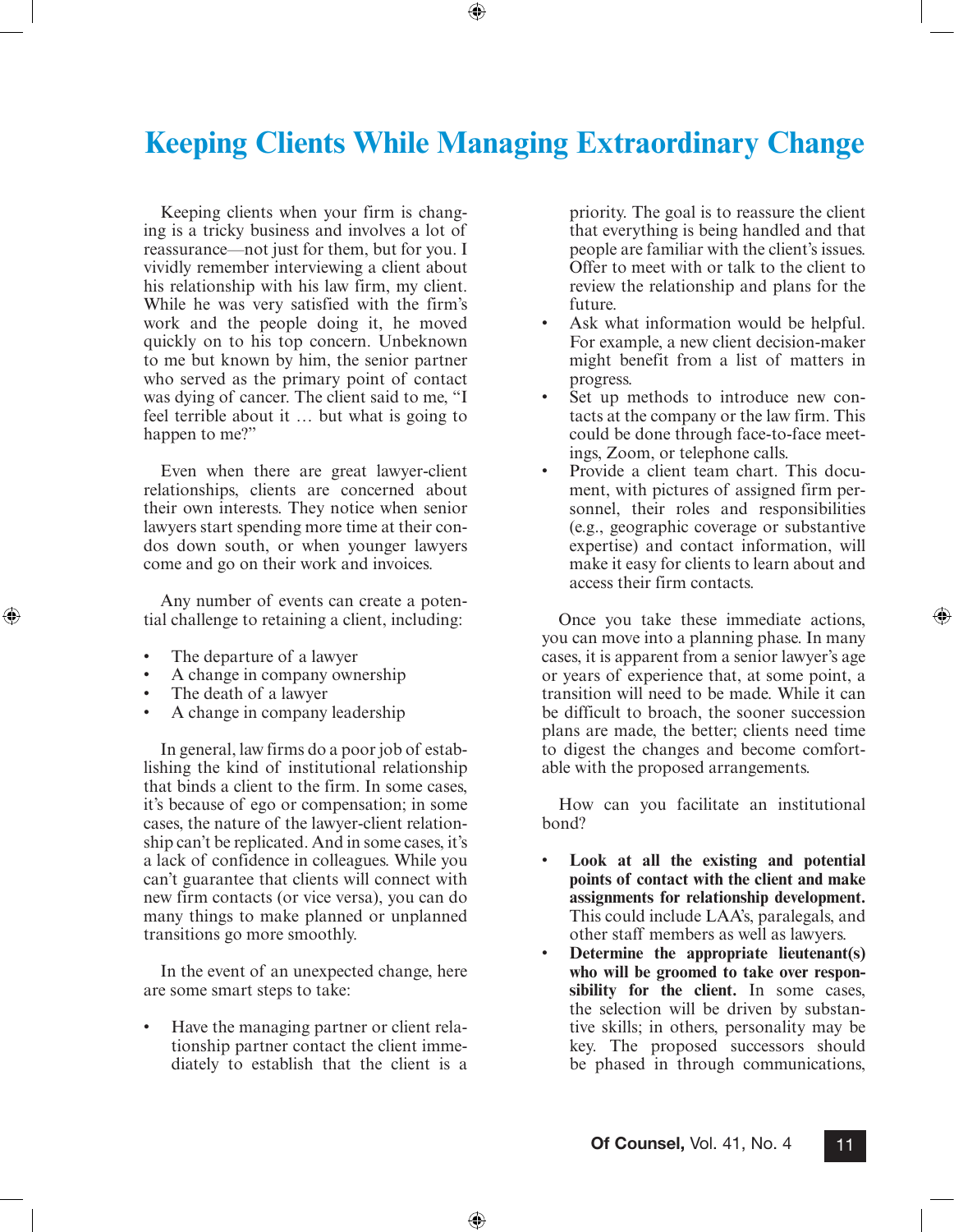## <span id="page-10-0"></span>**Keeping Clients While Managing Extraordinary Change**

⊕

Keeping clients when your firm is changing is a tricky business and involves a lot of reassurance—not just for them, but for you. I vividly remember interviewing a client about his relationship with his law firm, my client. While he was very satisfied with the firm's work and the people doing it, he moved quickly on to his top concern. Unbeknown to me but known by him, the senior partner who served as the primary point of contact was dying of cancer. The client said to me, "I feel terrible about it … but what is going to happen to me?"

Even when there are great lawyer-client relationships, clients are concerned about their own interests. They notice when senior lawyers start spending more time at their condos down south, or when younger lawyers come and go on their work and invoices.

Any number of events can create a potential challenge to retaining a client, including:

- The departure of a lawyer
- A change in company ownership
- The death of a lawyer

⊕

• A change in company leadership

In general, law firms do a poor job of establishing the kind of institutional relationship that binds a client to the firm. In some cases, it's because of ego or compensation; in some cases, the nature of the lawyer-client relationship can't be replicated. And in some cases, it's a lack of confidence in colleagues. While you can't guarantee that clients will connect with new firm contacts (or vice versa), you can do many things to make planned or unplanned transitions go more smoothly.

In the event of an unexpected change, here are some smart steps to take:

• Have the managing partner or client relationship partner contact the client immediately to establish that the client is a

priority. The goal is to reassure the client that everything is being handled and that people are familiar with the client's issues. Offer to meet with or talk to the client to review the relationship and plans for the future.

- Ask what information would be helpful. For example, a new client decision-maker might benefit from a list of matters in progress.
- Set up methods to introduce new contacts at the company or the law firm. This could be done through face-to-face meetings, Zoom, or telephone calls.
- Provide a client team chart. This document, with pictures of assigned firm personnel, their roles and responsibilities (e.g., geographic coverage or substantive expertise) and contact information, will make it easy for clients to learn about and access their firm contacts.

Once you take these immediate actions, you can move into a planning phase. In many cases, it is apparent from a senior lawyer's age or years of experience that, at some point, a transition will need to be made. While it can be difficult to broach, the sooner succession plans are made, the better; clients need time to digest the changes and become comfortable with the proposed arrangements.

⊕

How can you facilitate an institutional bond?

- **Look at all the existing and potential points of contact with the client and make assignments for relationship development.** This could include LAA's, paralegals, and other staff members as well as lawyers.
- **Determine the appropriate lieutenant(s) who will be groomed to take over responsibility for the client.** In some cases, the selection will be driven by substantive skills; in others, personality may be key. The proposed successors should be phased in through communications,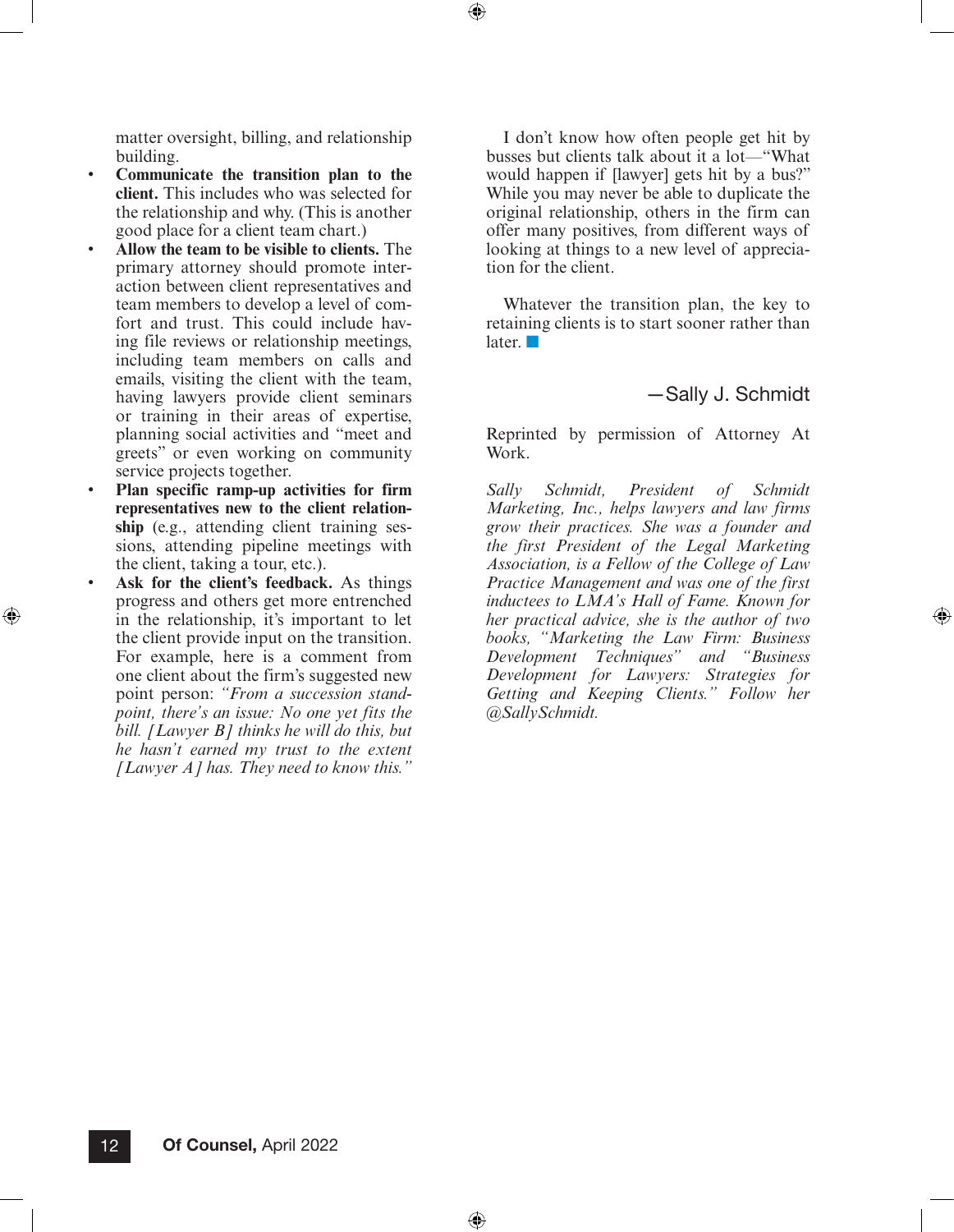matter oversight, billing, and relationship building.

- **Communicate the transition plan to the client.** This includes who was selected for the relationship and why. (This is another good place for a client team chart.)
- **Allow the team to be visible to clients.** The primary attorney should promote interaction between client representatives and team members to develop a level of comfort and trust. This could include having file reviews or relationship meetings, including team members on calls and emails, visiting the client with the team, having lawyers provide client seminars or training in their areas of expertise, planning social activities and "meet and greets" or even working on community service projects together.
- **Plan specific ramp-up activities for firm representatives new to the client relationship** (e.g., attending client training sessions, attending pipeline meetings with the client, taking a tour, etc.).
- Ask for the client's feedback. As things progress and others get more entrenched in the relationship, it's important to let the client provide input on the transition. For example, here is a comment from one client about the firm's suggested new point person: *"From a succession standpoint, there's an issue: No one yet fits the bill. [Lawyer B] thinks he will do this, but he hasn't earned my trust to the extent [Lawyer A] has. They need to know this."*

 $\textcircled{\scriptsize{*}}$ 

I don't know how often people get hit by busses but clients talk about it a lot—"What would happen if [lawyer] gets hit by a bus?" While you may never be able to duplicate the original relationship, others in the firm can offer many positives, from different ways of looking at things to a new level of appreciation for the client.

 $\textcircled{\scriptsize{+}}$ 

⊕

Whatever the transition plan, the key to retaining clients is to start sooner rather than later. ■

### —Sally J. Schmidt

⊕

Reprinted by permission of Attorney At Work.

*Sally Schmidt, President of Schmidt Marketing, Inc., helps lawyers and law firms grow their practices. She was a founder and the first President of the Legal Marketing Association, is a Fellow of the College of Law Practice Management and was one of the first inductees to LMA's Hall of Fame. Known for her practical advice, she is the author of two books, "Marketing the Law Firm: Business Development Techniques" and "Business Development for Lawyers: Strategies for Getting and Keeping Clients." Follow her @SallySchmidt.*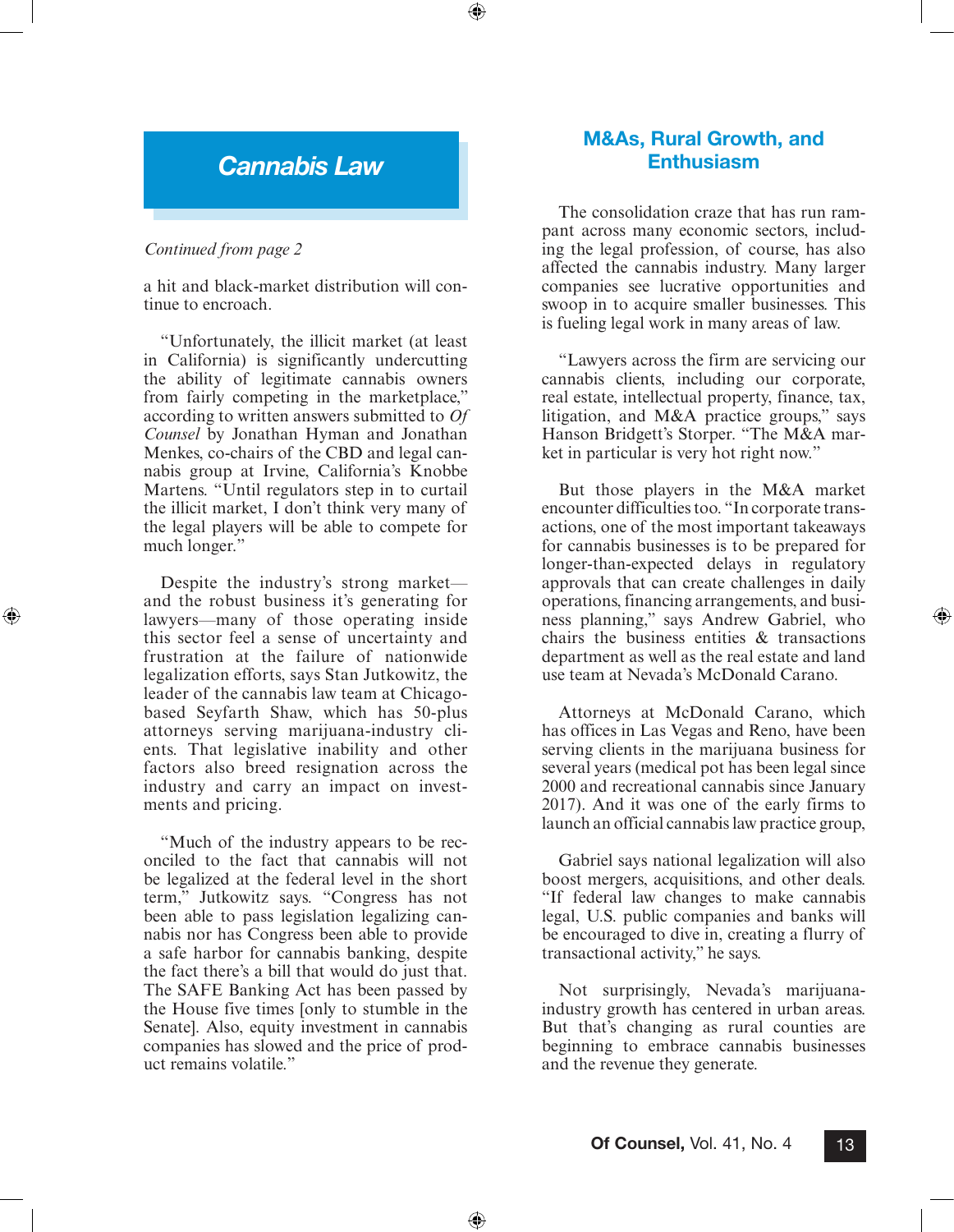## *Cannabis Law*

⊕

#### *Continued from page 2*

⊕

a hit and black-market distribution will continue to encroach.

"Unfortunately, the illicit market (at least in California) is significantly undercutting the ability of legitimate cannabis owners from fairly competing in the marketplace," according to written answers submitted to *Of Counsel* by Jonathan Hyman and Jonathan Menkes, co-chairs of the CBD and legal cannabis group at Irvine, California's Knobbe Martens. "Until regulators step in to curtail the illicit market, I don't think very many of the legal players will be able to compete for much longer."

Despite the industry's strong market and the robust business it's generating for lawyers—many of those operating inside this sector feel a sense of uncertainty and frustration at the failure of nationwide legalization efforts, says Stan Jutkowitz, the leader of the cannabis law team at Chicagobased Seyfarth Shaw, which has 50-plus attorneys serving marijuana-industry clients. That legislative inability and other factors also breed resignation across the industry and carry an impact on investments and pricing.

"Much of the industry appears to be reconciled to the fact that cannabis will not be legalized at the federal level in the short term," Jutkowitz says. "Congress has not been able to pass legislation legalizing cannabis nor has Congress been able to provide a safe harbor for cannabis banking, despite the fact there's a bill that would do just that. The SAFE Banking Act has been passed by the House five times [only to stumble in the Senate]. Also, equity investment in cannabis companies has slowed and the price of product remains volatile."

## M&As, Rural Growth, and **Enthusiasm**

The consolidation craze that has run rampant across many economic sectors, including the legal profession, of course, has also affected the cannabis industry. Many larger companies see lucrative opportunities and swoop in to acquire smaller businesses. This is fueling legal work in many areas of law.

"Lawyers across the firm are servicing our cannabis clients, including our corporate, real estate, intellectual property, finance, tax, litigation, and M&A practice groups," says Hanson Bridgett's Storper. "The M&A market in particular is very hot right now."

But those players in the M&A market encounter difficulties too. "In corporate transactions, one of the most important takeaways for cannabis businesses is to be prepared for longer-than-expected delays in regulatory approvals that can create challenges in daily operations, financing arrangements, and business planning," says Andrew Gabriel, who chairs the business entities & transactions department as well as the real estate and land use team at Nevada's McDonald Carano.

⊕

Attorneys at McDonald Carano, which has offices in Las Vegas and Reno, have been serving clients in the marijuana business for several years (medical pot has been legal since 2000 and recreational cannabis since January 2017). And it was one of the early firms to launch an official cannabis law practice group,

Gabriel says national legalization will also boost mergers, acquisitions, and other deals. "If federal law changes to make cannabis legal, U.S. public companies and banks will be encouraged to dive in, creating a flurry of transactional activity," he says.

Not surprisingly, Nevada's marijuanaindustry growth has centered in urban areas. But that's changing as rural counties are beginning to embrace cannabis businesses and the revenue they generate.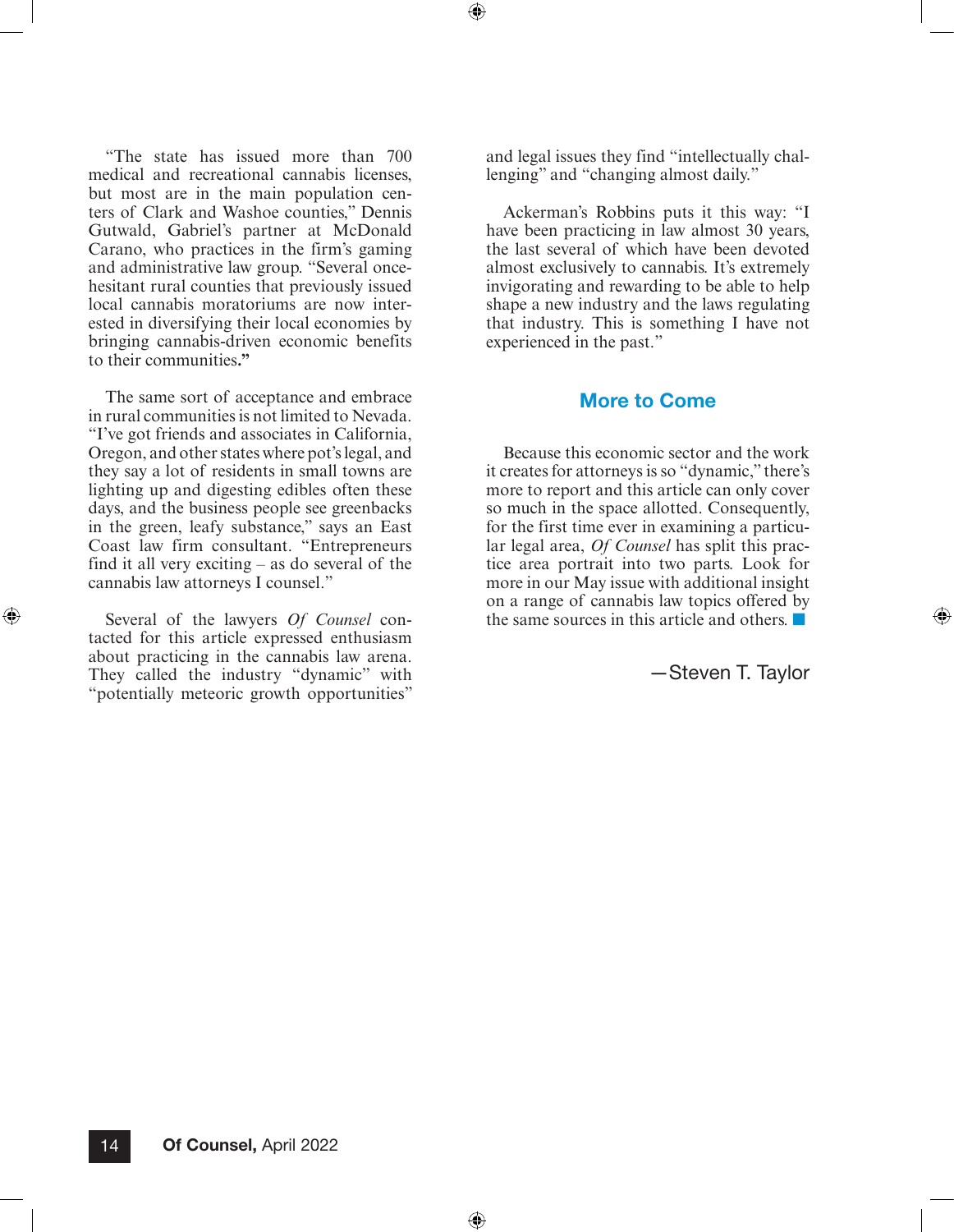$\textcircled{\scriptsize{+}}$ 

⊕

"The state has issued more than 700 medical and recreational cannabis licenses, but most are in the main population centers of Clark and Washoe counties," Dennis Gutwald, Gabriel's partner at McDonald Carano, who practices in the firm's gaming and administrative law group. "Several oncehesitant rural counties that previously issued local cannabis moratoriums are now interested in diversifying their local economies by bringing cannabis-driven economic benefits to their communities**."**

The same sort of acceptance and embrace in rural communities is not limited to Nevada. "I've got friends and associates in California, Oregon, and other states where pot's legal, and they say a lot of residents in small towns are lighting up and digesting edibles often these days, and the business people see greenbacks in the green, leafy substance," says an East Coast law firm consultant. "Entrepreneurs find it all very exciting – as do several of the cannabis law attorneys I counsel."

Several of the lawyers *Of Counsel* contacted for this article expressed enthusiasm about practicing in the cannabis law arena. They called the industry "dynamic" with "potentially meteoric growth opportunities"

⊕

and legal issues they find "intellectually challenging" and "changing almost daily."

Ackerman's Robbins puts it this way: "I have been practicing in law almost 30 years, the last several of which have been devoted almost exclusively to cannabis. It's extremely invigorating and rewarding to be able to help shape a new industry and the laws regulating that industry. This is something I have not experienced in the past."

### More to Come

Because this economic sector and the work it creates for attorneys is so "dynamic," there's more to report and this article can only cover so much in the space allotted. Consequently, for the first time ever in examining a particular legal area, *Of Counsel* has split this practice area portrait into two parts. Look for more in our May issue with additional insight on a range of cannabis law topics offered by the same sources in this article and others. ■

—Steven T. Taylor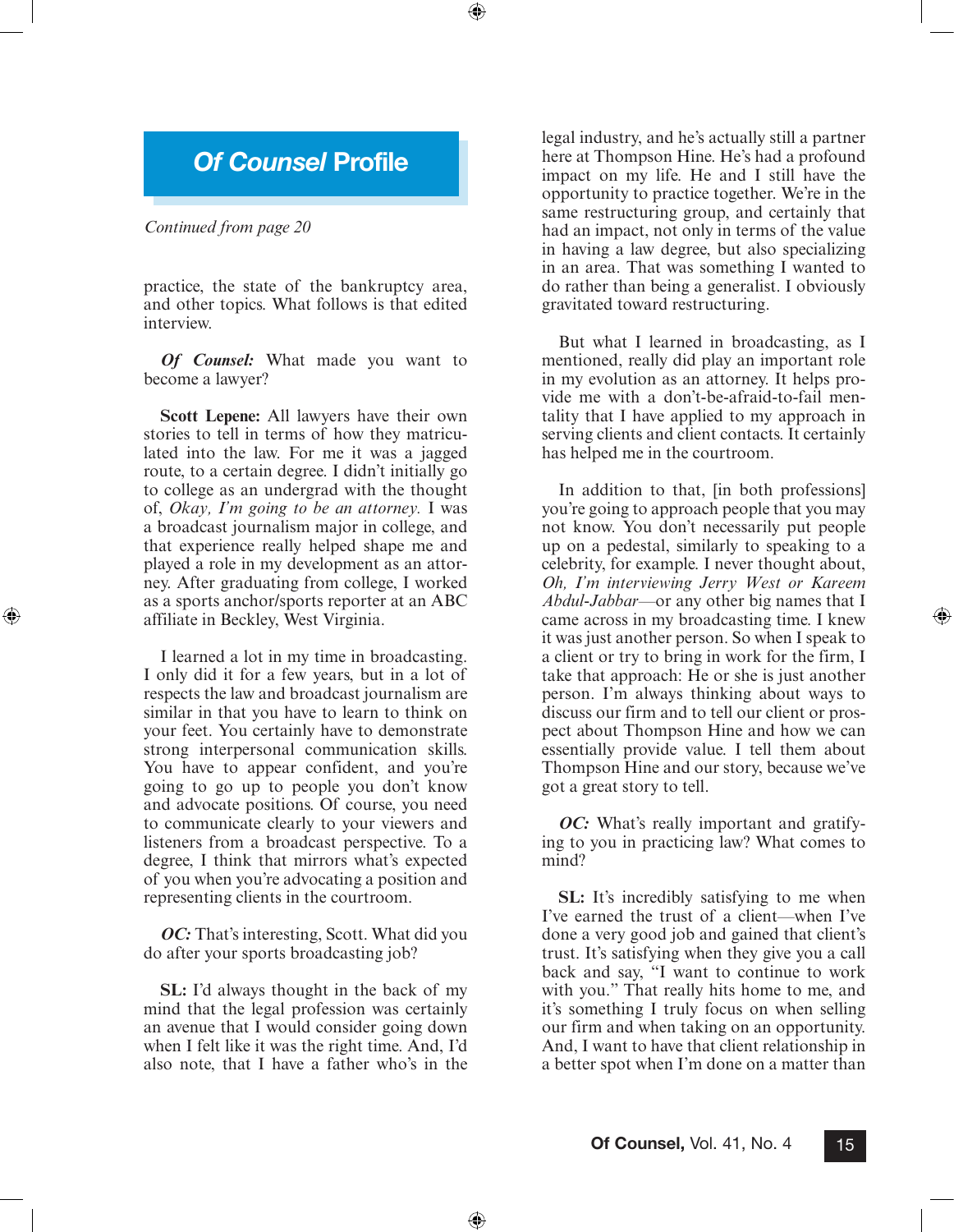## *Of Counsel* Profile

⊕

#### *Continued from page 20*

⊕

practice, the state of the bankruptcy area, and other topics. What follows is that edited interview.

*Of Counsel:* What made you want to become a lawyer?

**Scott Lepene:** All lawyers have their own stories to tell in terms of how they matriculated into the law. For me it was a jagged route, to a certain degree. I didn't initially go to college as an undergrad with the thought of, *Okay, I'm going to be an attorney.* I was a broadcast journalism major in college, and that experience really helped shape me and played a role in my development as an attorney. After graduating from college, I worked as a sports anchor/sports reporter at an ABC affiliate in Beckley, West Virginia.

I learned a lot in my time in broadcasting. I only did it for a few years, but in a lot of respects the law and broadcast journalism are similar in that you have to learn to think on your feet. You certainly have to demonstrate strong interpersonal communication skills. You have to appear confident, and you're going to go up to people you don't know and advocate positions. Of course, you need to communicate clearly to your viewers and listeners from a broadcast perspective. To a degree, I think that mirrors what's expected of you when you're advocating a position and representing clients in the courtroom.

*OC:* That's interesting, Scott. What did you do after your sports broadcasting job?

**SL:** I'd always thought in the back of my mind that the legal profession was certainly an avenue that I would consider going down when I felt like it was the right time. And, I'd also note, that I have a father who's in the

⊕

legal industry, and he's actually still a partner here at Thompson Hine. He's had a profound impact on my life. He and I still have the opportunity to practice together. We're in the same restructuring group, and certainly that had an impact, not only in terms of the value in having a law degree, but also specializing in an area. That was something I wanted to do rather than being a generalist. I obviously gravitated toward restructuring.

But what I learned in broadcasting, as I mentioned, really did play an important role in my evolution as an attorney. It helps provide me with a don't-be-afraid-to-fail mentality that I have applied to my approach in serving clients and client contacts. It certainly has helped me in the courtroom.

In addition to that, [in both professions] you're going to approach people that you may not know. You don't necessarily put people up on a pedestal, similarly to speaking to a celebrity, for example. I never thought about, *Oh, I'm interviewing Jerry West or Kareem Abdul-Jabbar*—or any other big names that I came across in my broadcasting time. I knew it was just another person. So when I speak to a client or try to bring in work for the firm, I take that approach: He or she is just another person. I'm always thinking about ways to discuss our firm and to tell our client or prospect about Thompson Hine and how we can essentially provide value. I tell them about Thompson Hine and our story, because we've got a great story to tell.

⊕

*OC:* What's really important and gratifying to you in practicing law? What comes to mind?

**SL:** It's incredibly satisfying to me when I've earned the trust of a client—when I've done a very good job and gained that client's trust. It's satisfying when they give you a call back and say, "I want to continue to work with you." That really hits home to me, and it's something I truly focus on when selling our firm and when taking on an opportunity. And, I want to have that client relationship in a better spot when I'm done on a matter than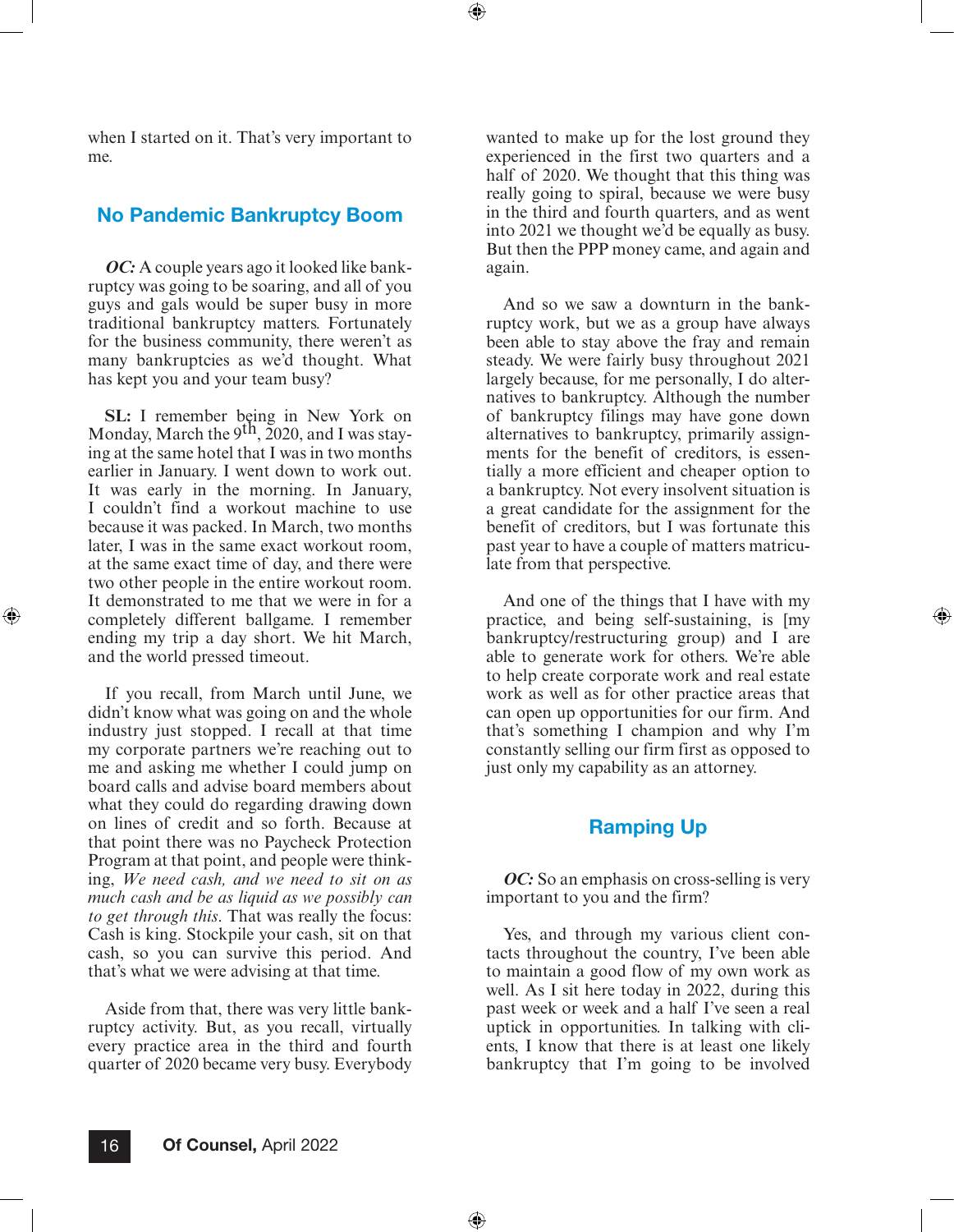⊕

when I started on it. That's very important to me.

### No Pandemic Bankruptcy Boom

*OC:* A couple years ago it looked like bankruptcy was going to be soaring, and all of you guys and gals would be super busy in more traditional bankruptcy matters. Fortunately for the business community, there weren't as many bankruptcies as we'd thought. What has kept you and your team busy?

**SL:** I remember being in New York on Monday, March the  $9<sup>th</sup>$ , 2020, and I was staying at the same hotel that I was in two months earlier in January. I went down to work out. It was early in the morning. In January, I couldn't find a workout machine to use because it was packed. In March, two months later, I was in the same exact workout room, at the same exact time of day, and there were two other people in the entire workout room. It demonstrated to me that we were in for a completely different ballgame. I remember ending my trip a day short. We hit March, and the world pressed timeout.

⊕

If you recall, from March until June, we didn't know what was going on and the whole industry just stopped. I recall at that time my corporate partners we're reaching out to me and asking me whether I could jump on board calls and advise board members about what they could do regarding drawing down on lines of credit and so forth. Because at that point there was no Paycheck Protection Program at that point, and people were thinking, *We need cash, and we need to sit on as much cash and be as liquid as we possibly can to get through this*. That was really the focus: Cash is king. Stockpile your cash, sit on that cash, so you can survive this period. And that's what we were advising at that time.

Aside from that, there was very little bankruptcy activity. But, as you recall, virtually every practice area in the third and fourth quarter of 2020 became very busy. Everybody

wanted to make up for the lost ground they experienced in the first two quarters and a half of 2020. We thought that this thing was really going to spiral, because we were busy in the third and fourth quarters, and as went into 2021 we thought we'd be equally as busy. But then the PPP money came, and again and again.

And so we saw a downturn in the bankruptcy work, but we as a group have always been able to stay above the fray and remain steady. We were fairly busy throughout 2021 largely because, for me personally, I do alternatives to bankruptcy. Although the number of bankruptcy filings may have gone down alternatives to bankruptcy, primarily assignments for the benefit of creditors, is essentially a more efficient and cheaper option to a bankruptcy. Not every insolvent situation is a great candidate for the assignment for the benefit of creditors, but I was fortunate this past year to have a couple of matters matriculate from that perspective.

And one of the things that I have with my practice, and being self-sustaining, is [my bankruptcy/restructuring group) and I are able to generate work for others. We're able to help create corporate work and real estate work as well as for other practice areas that can open up opportunities for our firm. And that's something I champion and why I'm constantly selling our firm first as opposed to just only my capability as an attorney.

⊕

### Ramping Up

*OC*: So an emphasis on cross-selling is very important to you and the firm?

Yes, and through my various client contacts throughout the country, I've been able to maintain a good flow of my own work as well. As I sit here today in 2022, during this past week or week and a half I've seen a real uptick in opportunities. In talking with clients, I know that there is at least one likely bankruptcy that I'm going to be involved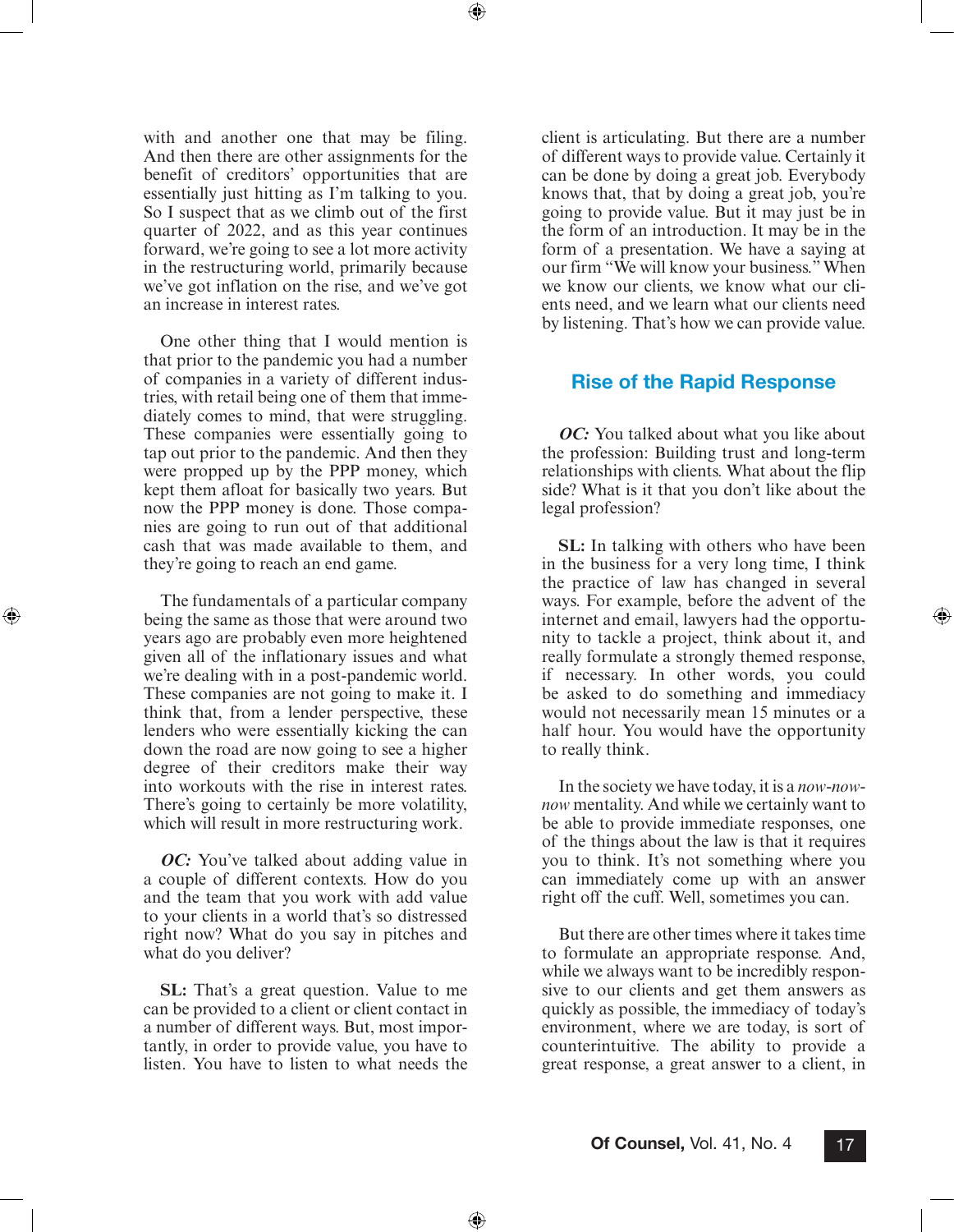⊕

with and another one that may be filing. And then there are other assignments for the benefit of creditors' opportunities that are essentially just hitting as I'm talking to you. So I suspect that as we climb out of the first quarter of 2022, and as this year continues forward, we're going to see a lot more activity in the restructuring world, primarily because we've got inflation on the rise, and we've got an increase in interest rates.

One other thing that I would mention is that prior to the pandemic you had a number of companies in a variety of different industries, with retail being one of them that immediately comes to mind, that were struggling. These companies were essentially going to tap out prior to the pandemic. And then they were propped up by the PPP money, which kept them afloat for basically two years. But now the PPP money is done. Those companies are going to run out of that additional cash that was made available to them, and they're going to reach an end game.

The fundamentals of a particular company being the same as those that were around two years ago are probably even more heightened given all of the inflationary issues and what we're dealing with in a post-pandemic world. These companies are not going to make it. I think that, from a lender perspective, these lenders who were essentially kicking the can down the road are now going to see a higher degree of their creditors make their way into workouts with the rise in interest rates. There's going to certainly be more volatility, which will result in more restructuring work.

⊕

*OC:* You've talked about adding value in a couple of different contexts. How do you and the team that you work with add value to your clients in a world that's so distressed right now? What do you say in pitches and what do you deliver?

**SL:** That's a great question. Value to me can be provided to a client or client contact in a number of different ways. But, most importantly, in order to provide value, you have to listen. You have to listen to what needs the

client is articulating. But there are a number of different ways to provide value. Certainly it can be done by doing a great job. Everybody knows that, that by doing a great job, you're going to provide value. But it may just be in the form of an introduction. It may be in the form of a presentation. We have a saying at our firm "We will know your business." When we know our clients, we know what our clients need, and we learn what our clients need by listening. That's how we can provide value.

#### Rise of the Rapid Response

*OC:* You talked about what you like about the profession: Building trust and long-term relationships with clients. What about the flip side? What is it that you don't like about the legal profession?

**SL:** In talking with others who have been in the business for a very long time, I think the practice of law has changed in several ways. For example, before the advent of the internet and email, lawyers had the opportunity to tackle a project, think about it, and really formulate a strongly themed response, if necessary. In other words, you could be asked to do something and immediacy would not necessarily mean 15 minutes or a half hour. You would have the opportunity to really think.

⊕

In the society we have today, it is a *now-nownow* mentality. And while we certainly want to be able to provide immediate responses, one of the things about the law is that it requires you to think. It's not something where you can immediately come up with an answer right off the cuff. Well, sometimes you can.

But there are other times where it takes time to formulate an appropriate response. And, while we always want to be incredibly responsive to our clients and get them answers as quickly as possible, the immediacy of today's environment, where we are today, is sort of counterintuitive. The ability to provide a great response, a great answer to a client, in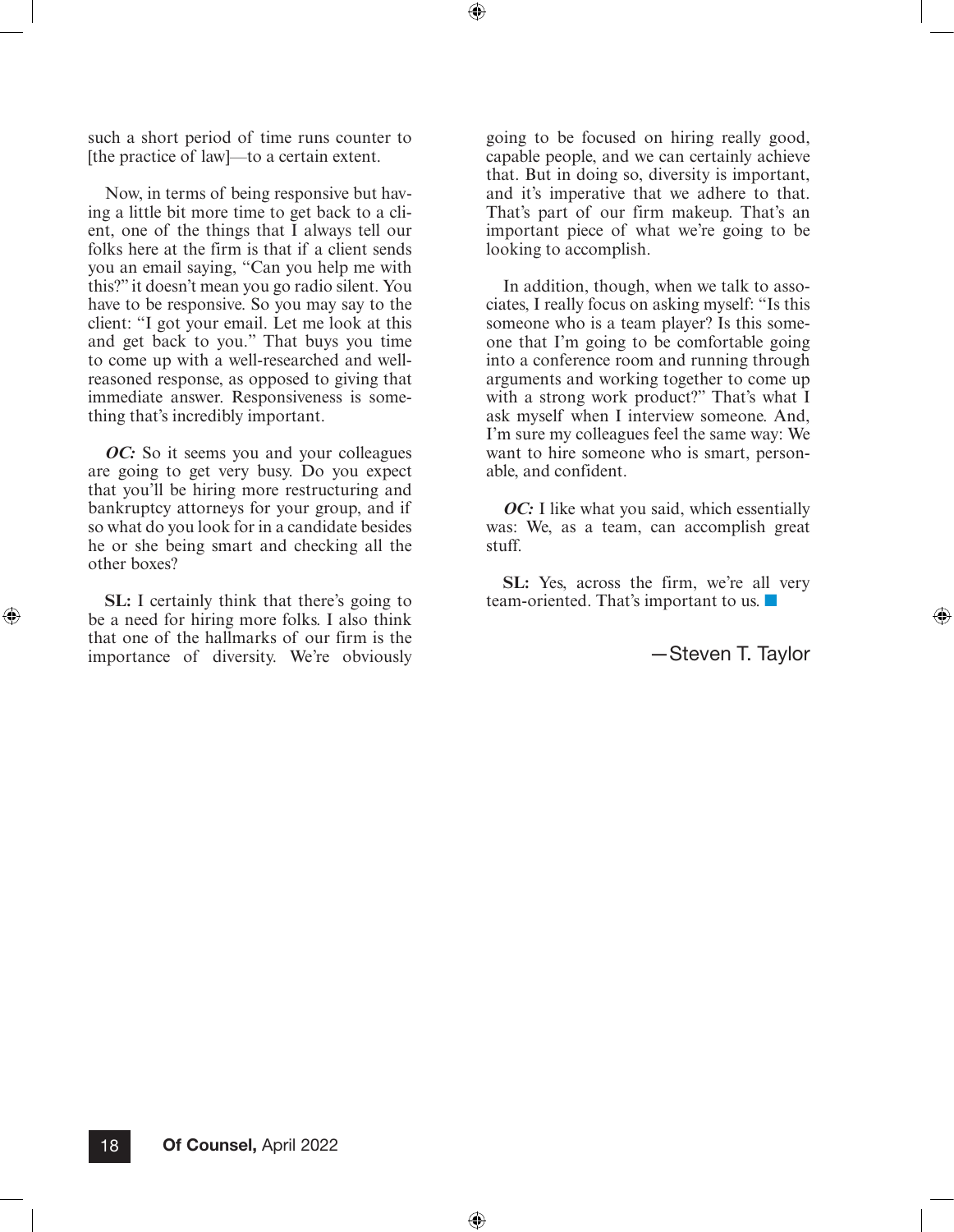such a short period of time runs counter to [the practice of law]—to a certain extent.

Now, in terms of being responsive but having a little bit more time to get back to a client, one of the things that I always tell our folks here at the firm is that if a client sends you an email saying, "Can you help me with this?" it doesn't mean you go radio silent. You have to be responsive. So you may say to the client: "I got your email. Let me look at this and get back to you." That buys you time to come up with a well-researched and wellreasoned response, as opposed to giving that immediate answer. Responsiveness is something that's incredibly important.

*OC*: So it seems you and your colleagues are going to get very busy. Do you expect that you'll be hiring more restructuring and bankruptcy attorneys for your group, and if so what do you look for in a candidate besides he or she being smart and checking all the other boxes?

**SL:** I certainly think that there's going to be a need for hiring more folks. I also think that one of the hallmarks of our firm is the importance of diversity. We're obviously

⊕

going to be focused on hiring really good, capable people, and we can certainly achieve that. But in doing so, diversity is important, and it's imperative that we adhere to that. That's part of our firm makeup. That's an important piece of what we're going to be looking to accomplish.

 $\textcircled{\scriptsize{+}}$ 

⊕

In addition, though, when we talk to associates, I really focus on asking myself: "Is this someone who is a team player? Is this someone that I'm going to be comfortable going into a conference room and running through arguments and working together to come up with a strong work product?" That's what I ask myself when I interview someone. And, I'm sure my colleagues feel the same way: We want to hire someone who is smart, personable, and confident.

*OC*: I like what you said, which essentially was: We, as a team, can accomplish great stuff.

**SL:** Yes, across the firm, we're all very team-oriented. That's important to us. ■

—Steven T. Taylor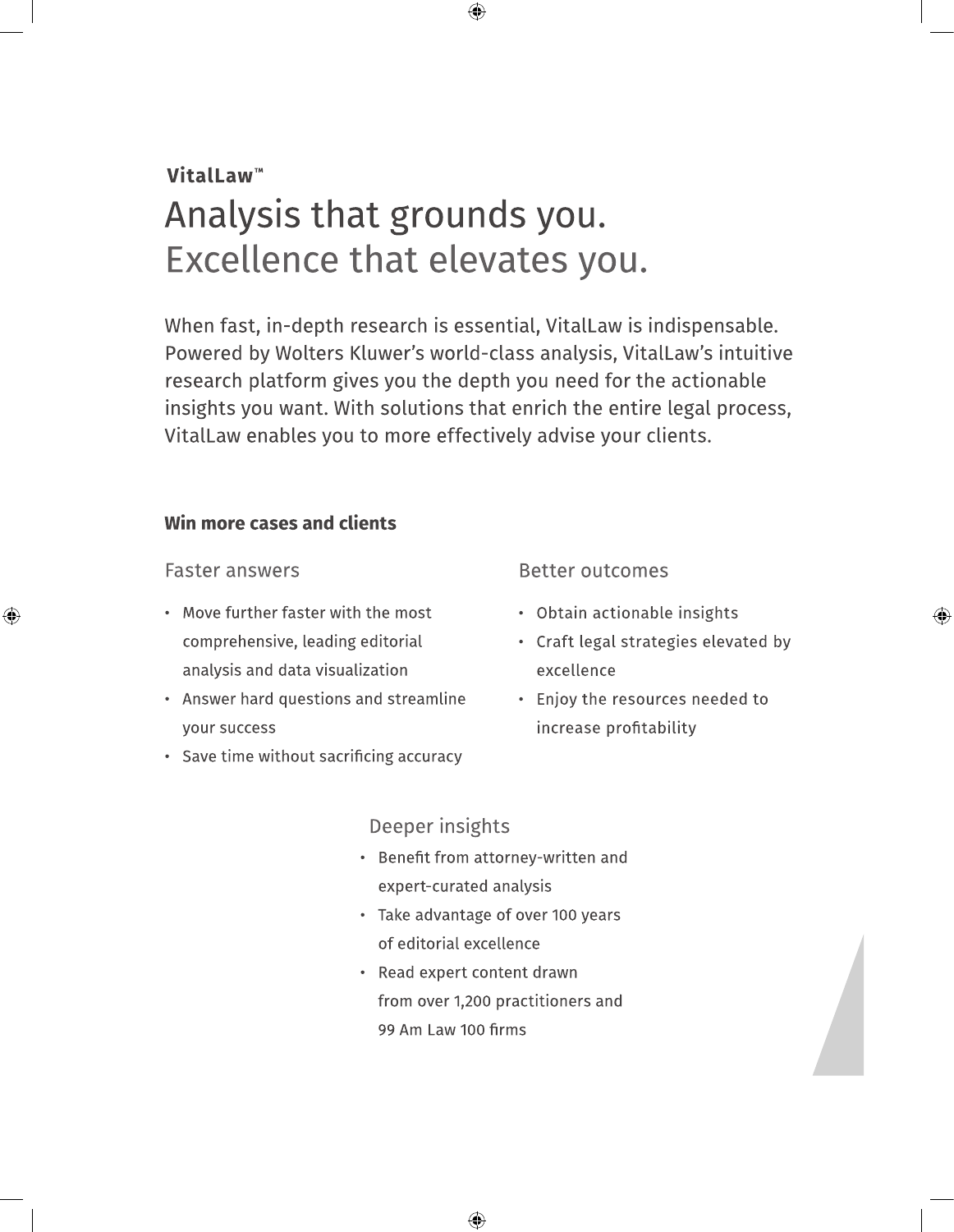# **VitalLaw™** Analysis that grounds you. Excellence that elevates you.

When fast, in-depth research is essential, VitalLaw is indispensable. Powered by Wolters Kluwer's world-class analysis, VitalLaw's intuitive research platform gives you the depth you need for the actionable insights you want. With solutions that enrich the entire legal process, VitalLaw enables you to more effectively advise your clients.

 $\bigoplus$ 

### Win more cases and clients

### **Faster answers**

⊕

- Move further faster with the most comprehensive, leading editorial analysis and data visualization
- Answer hard questions and streamline your success
- Save time without sacrificing accuracy

### **Better outcomes**

- Obtain actionable insights
- Craft legal strategies elevated by excellence

⊕

• Enjoy the resources needed to increase profitability

## Deeper insights

- Benefit from attorney-written and expert-curated analysis
- Take advantage of over 100 years of editorial excellence
- Read expert content drawn from over 1,200 practitioners and 99 Am Law 100 firms